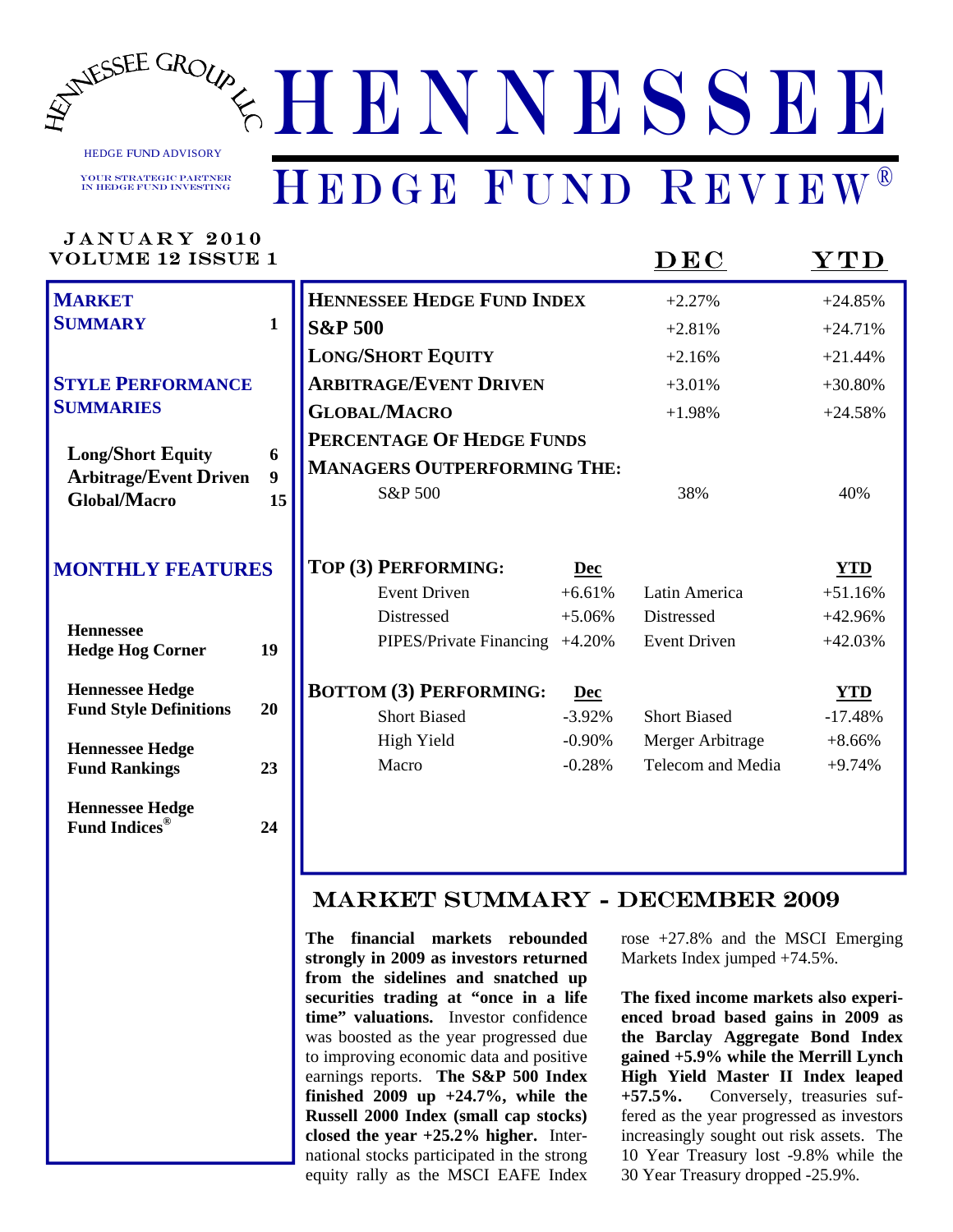

HEDGE FUND ADVISORY

Your Strategic Partner in Hedge Fund Investing

### HEDGE FUND REVIEW®

| <b>JANUARY 2010</b><br><b>VOLUME 12 ISSUE 1</b>           |                       |                                              |                      | DEC                                   | $\bold{YTD}$            |
|-----------------------------------------------------------|-----------------------|----------------------------------------------|----------------------|---------------------------------------|-------------------------|
| <b>MARKET</b>                                             |                       | HENNESSEE HEDGE FUND INDEX                   |                      | $+2.27%$                              | $+24.85%$               |
| <b>SUMMARY</b>                                            | $\mathbf{1}$          | <b>S&amp;P 500</b>                           |                      | $+2.81%$                              | $+24.71%$               |
|                                                           |                       | <b>LONG/SHORT EQUITY</b>                     |                      | $+2.16%$                              | $+21.44%$               |
| <b>STYLE PERFORMANCE</b>                                  |                       | <b>ARBITRAGE/EVENT DRIVEN</b>                |                      | $+3.01%$                              | $+30.80%$               |
| <b>SUMMARIES</b>                                          |                       | <b>GLOBAL/MACRO</b>                          |                      | $+1.98%$                              | $+24.58%$               |
|                                                           |                       | PERCENTAGE OF HEDGE FUNDS                    |                      |                                       |                         |
| <b>Long/Short Equity</b><br><b>Arbitrage/Event Driven</b> | 6<br>$\boldsymbol{9}$ | <b>MANAGERS OUTPERFORMING THE:</b>           |                      |                                       |                         |
| <b>Global/Macro</b>                                       | 15                    | S&P 500                                      |                      | 38%                                   | 40%                     |
| <b>MONTHLY FEATURES</b>                                   |                       | TOP (3) PERFORMING:<br><b>Event Driven</b>   | Dec<br>$+6.61%$      | Latin America                         | <b>YTD</b><br>$+51.16%$ |
| <b>Hennessee</b><br><b>Hedge Hog Corner</b>               | 19                    | Distressed<br>PIPES/Private Financing +4.20% | $+5.06%$             | Distressed<br><b>Event Driven</b>     | $+42.96%$<br>$+42.03%$  |
| <b>Hennessee Hedge</b><br><b>Fund Style Definitions</b>   | 20                    | <b>BOTTOM (3) PERFORMING:</b>                | <b>Dec</b>           |                                       | <b>YTD</b>              |
|                                                           |                       | <b>Short Biased</b>                          | $-3.92%$             | <b>Short Biased</b>                   | $-17.48%$               |
| <b>Hennessee Hedge</b><br><b>Fund Rankings</b>            | 23                    | <b>High Yield</b><br>Macro                   | $-0.90%$<br>$-0.28%$ | Merger Arbitrage<br>Telecom and Media | $+8.66%$<br>$+9.74%$    |
| <b>Hennessee Hedge</b><br><b>Fund Indices<sup>®</sup></b> | 24                    |                                              |                      |                                       |                         |
|                                                           |                       | <b>MARKET SUMMARY - DECEMBER 2009</b>        |                      |                                       |                         |

**The financial markets rebounded strongly in 2009 as investors returned from the sidelines and snatched up securities trading at "once in a life time" valuations.** Investor confidence was boosted as the year progressed due to improving economic data and positive earnings reports. **The S&P 500 Index finished 2009 up +24.7%, while the Russell 2000 Index (small cap stocks) closed the year +25.2% higher.** International stocks participated in the strong equity rally as the MSCI EAFE Index rose +27.8% and the MSCI Emerging Markets Index jumped +74.5%.

**The fixed income markets also experienced broad based gains in 2009 as the Barclay Aggregate Bond Index gained +5.9% while the Merrill Lynch High Yield Master II Index leaped +57.5%.** Conversely, treasuries suffered as the year progressed as investors increasingly sought out risk assets. The 10 Year Treasury lost -9.8% while the 30 Year Treasury dropped -25.9%.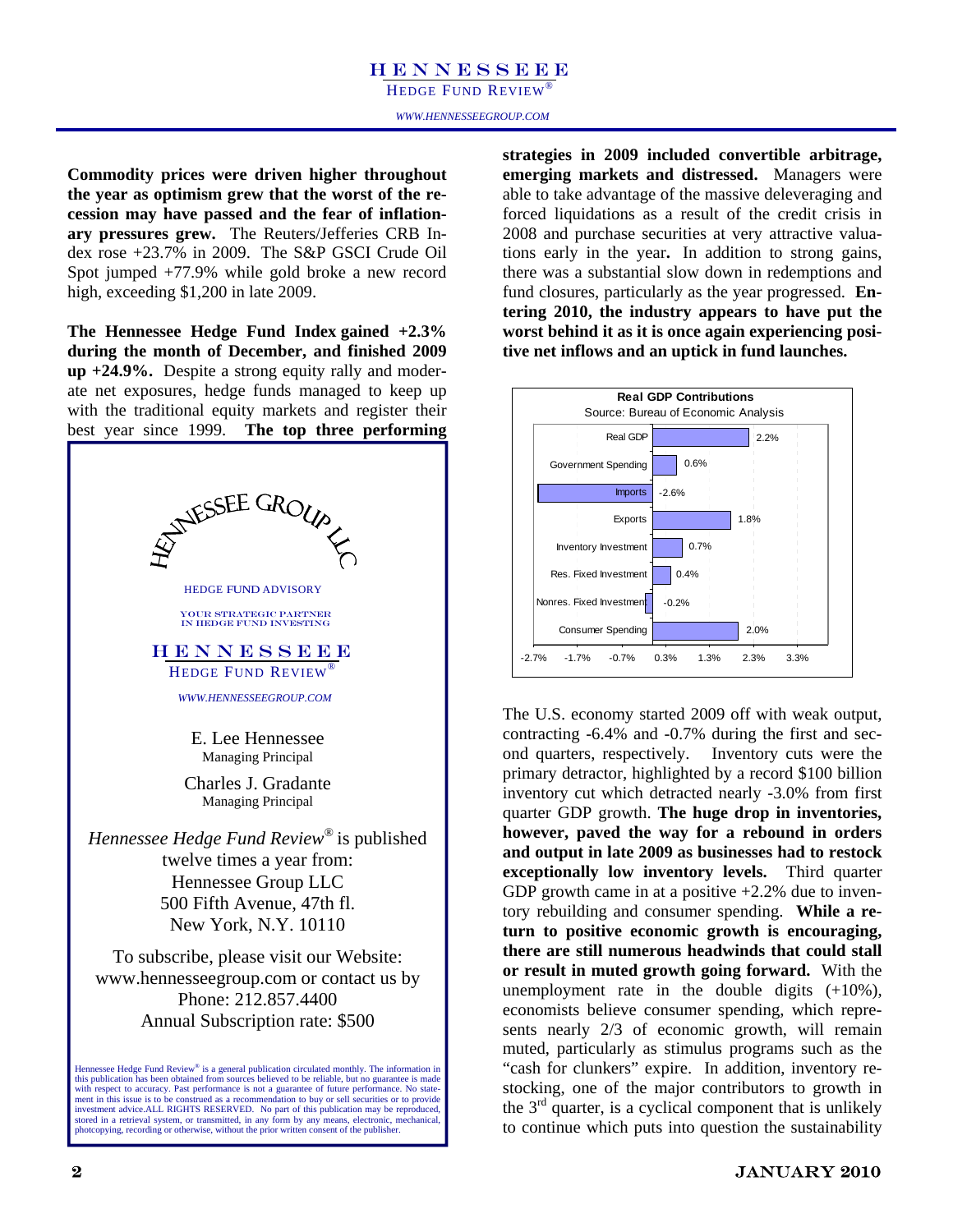HEDGE FUND REVIEW®

**Commodity prices were driven higher throughout the year as optimism grew that the worst of the recession may have passed and the fear of inflationary pressures grew.** The Reuters/Jefferies CRB Index rose +23.7% in 2009. The S&P GSCI Crude Oil Spot jumped +77.9% while gold broke a new record high, exceeding \$1,200 in late 2009.

**The Hennessee Hedge Fund Index gained +2.3% during the month of December, and finished 2009 up +24.9%.** Despite a strong equity rally and moderate net exposures, hedge funds managed to keep up with the traditional equity markets and register their best year since 1999. **The top three performing** 



**strategies in 2009 included convertible arbitrage, emerging markets and distressed.** Managers were able to take advantage of the massive deleveraging and forced liquidations as a result of the credit crisis in 2008 and purchase securities at very attractive valuations early in the year**.** In addition to strong gains, there was a substantial slow down in redemptions and fund closures, particularly as the year progressed. **Entering 2010, the industry appears to have put the worst behind it as it is once again experiencing positive net inflows and an uptick in fund launches.** 



The U.S. economy started 2009 off with weak output, contracting -6.4% and -0.7% during the first and second quarters, respectively. Inventory cuts were the primary detractor, highlighted by a record \$100 billion inventory cut which detracted nearly -3.0% from first quarter GDP growth. **The huge drop in inventories, however, paved the way for a rebound in orders and output in late 2009 as businesses had to restock exceptionally low inventory levels.** Third quarter GDP growth came in at a positive  $+2.2\%$  due to inventory rebuilding and consumer spending. **While a return to positive economic growth is encouraging, there are still numerous headwinds that could stall or result in muted growth going forward.** With the unemployment rate in the double digits  $(+10\%)$ , economists believe consumer spending, which represents nearly 2/3 of economic growth, will remain muted, particularly as stimulus programs such as the "cash for clunkers" expire. In addition, inventory restocking, one of the major contributors to growth in the  $3<sup>rd</sup>$  quarter, is a cyclical component that is unlikely to continue which puts into question the sustainability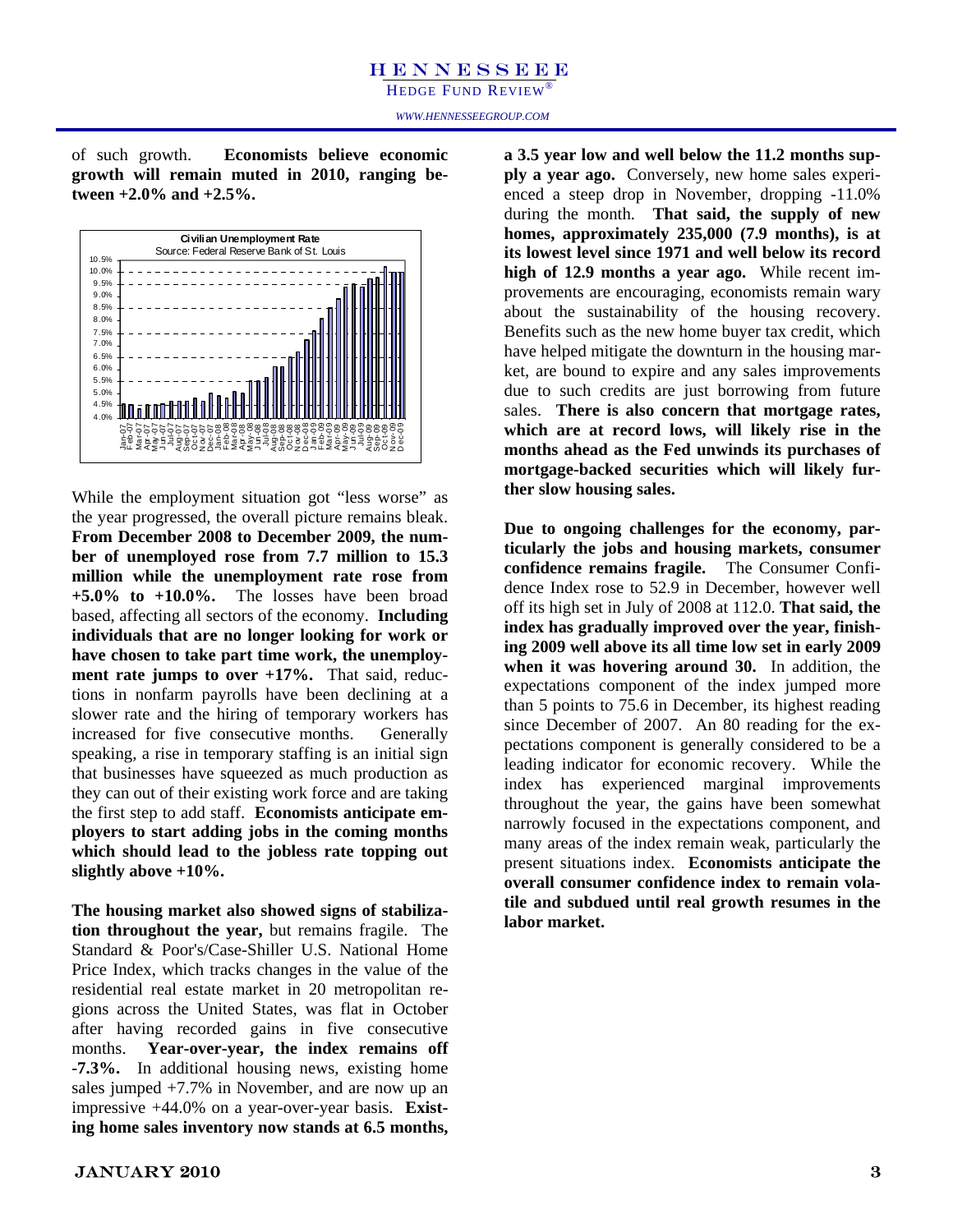of such growth. **Economists believe economic growth will remain muted in 2010, ranging between +2.0% and +2.5%.** 



While the employment situation got "less worse" as the year progressed, the overall picture remains bleak. **From December 2008 to December 2009, the number of unemployed rose from 7.7 million to 15.3 million while the unemployment rate rose from +5.0% to +10.0%.** The losses have been broad based, affecting all sectors of the economy. **Including individuals that are no longer looking for work or have chosen to take part time work, the unemployment rate jumps to over +17%.** That said, reductions in nonfarm payrolls have been declining at a slower rate and the hiring of temporary workers has increased for five consecutive months. Generally speaking, a rise in temporary staffing is an initial sign that businesses have squeezed as much production as they can out of their existing work force and are taking the first step to add staff. **Economists anticipate employers to start adding jobs in the coming months which should lead to the jobless rate topping out slightly above +10%.** 

**The housing market also showed signs of stabilization throughout the year,** but remains fragile. The Standard & Poor's/Case-Shiller U.S. National Home Price Index, which tracks changes in the value of the residential real estate market in 20 metropolitan regions across the United States, was flat in October after having recorded gains in five consecutive months. **Year-over-year, the index remains off -7.3%.** In additional housing news, existing home sales jumped +7.7% in November, and are now up an impressive +44.0% on a year-over-year basis. **Existing home sales inventory now stands at 6.5 months,** 

**a 3.5 year low and well below the 11.2 months supply a year ago.** Conversely, new home sales experienced a steep drop in November, dropping -11.0% during the month. **That said, the supply of new homes, approximately 235,000 (7.9 months), is at its lowest level since 1971 and well below its record high of 12.9 months a year ago.** While recent improvements are encouraging, economists remain wary about the sustainability of the housing recovery. Benefits such as the new home buyer tax credit, which have helped mitigate the downturn in the housing market, are bound to expire and any sales improvements due to such credits are just borrowing from future sales. **There is also concern that mortgage rates, which are at record lows, will likely rise in the months ahead as the Fed unwinds its purchases of mortgage-backed securities which will likely further slow housing sales.** 

**Due to ongoing challenges for the economy, particularly the jobs and housing markets, consumer confidence remains fragile.** The Consumer Confidence Index rose to 52.9 in December, however well off its high set in July of 2008 at 112.0. **That said, the index has gradually improved over the year, finishing 2009 well above its all time low set in early 2009 when it was hovering around 30.** In addition, the expectations component of the index jumped more than 5 points to 75.6 in December, its highest reading since December of 2007. An 80 reading for the expectations component is generally considered to be a leading indicator for economic recovery. While the index has experienced marginal improvements throughout the year, the gains have been somewhat narrowly focused in the expectations component, and many areas of the index remain weak, particularly the present situations index. **Economists anticipate the overall consumer confidence index to remain volatile and subdued until real growth resumes in the labor market.**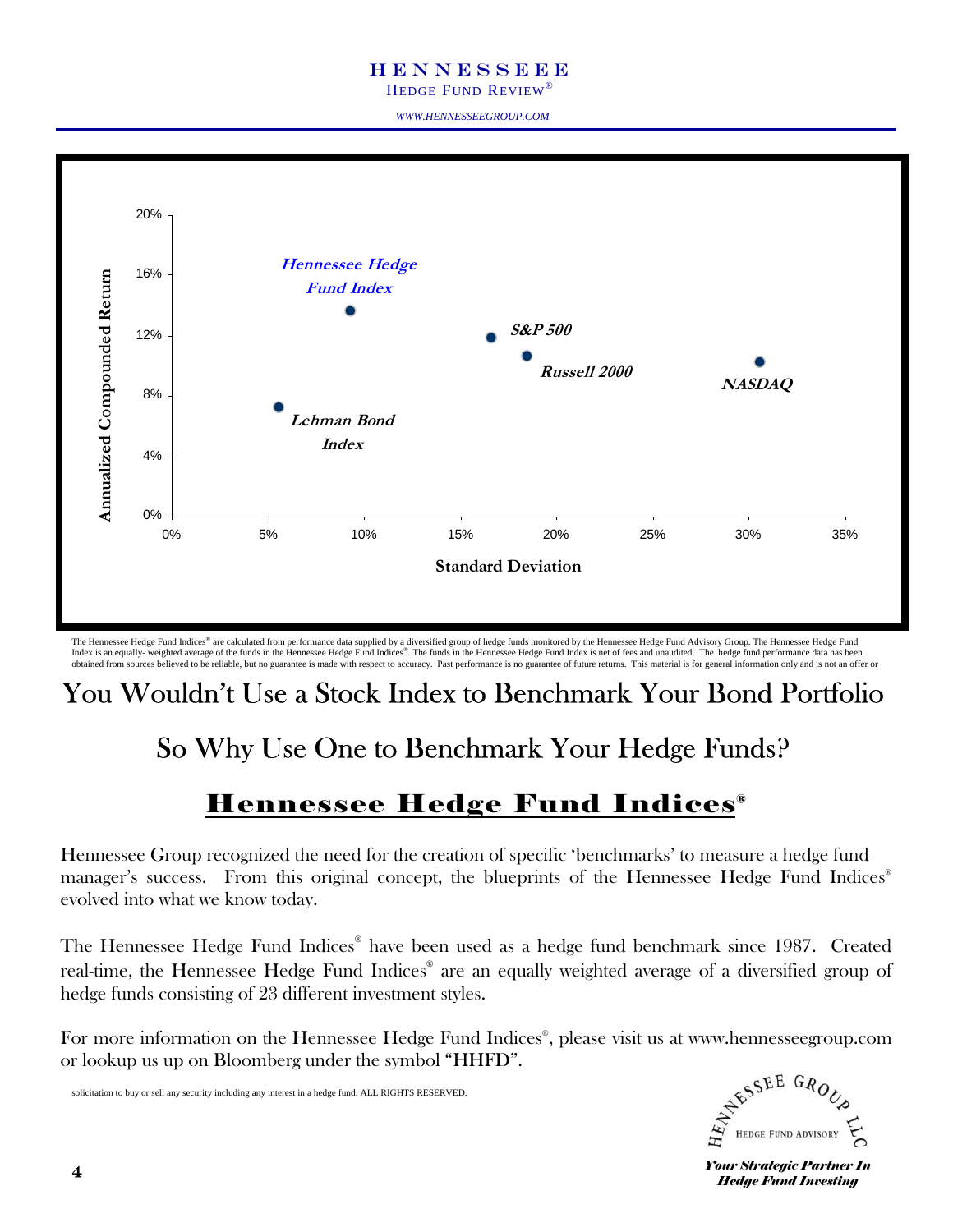HEDGE FUND REVIEW®

*WWW.HENNESSEEGROUP.COM* 



The Hennessee Hedge Fund Indices® are calculated from performance data supplied by a diversified group of hedge funds monitored by the Hennessee Hedge Fund Advisory Group. The Hennessee Hedge Fund Index is an equally- weighted average of the funds in the Hennessee Hedge Fund Indices®. The funds in the Hennessee Hedge Fund Index is net of fees and unaudited. The hedge fund performance data has been obtained from sources believed to be reliable, but no guarantee is made with respect to accuracy. Past performance is no guarantee of future returns. This material is for general information only and is not an offer or

#### You Wouldn't Use a Stock Index to Benchmark Your Bond Portfolio

#### So Why Use One to Benchmark Your Hedge Funds?

#### Hennessee Hedge Fund Indices®

Hennessee Group recognized the need for the creation of specific 'benchmarks' to measure a hedge fund manager's success. From this original concept, the blueprints of the Hennessee Hedge Fund Indices<sup>®</sup> evolved into what we know today.

The Hennessee Hedge Fund Indices® have been used as a hedge fund benchmark since 1987. Created real-time, the Hennessee Hedge Fund Indices® are an equally weighted average of a diversified group of hedge funds consisting of 23 different investment styles.

For more information on the Hennessee Hedge Fund Indices® , please visit us at www.hennesseegroup.com or lookup us up on Bloomberg under the symbol "HHFD".

solicitation to buy or sell any security including any interest in a hedge fund. ALL RIGHTS RESERVED.



**Your Strategic Partner In** *Hedge Fund Investing*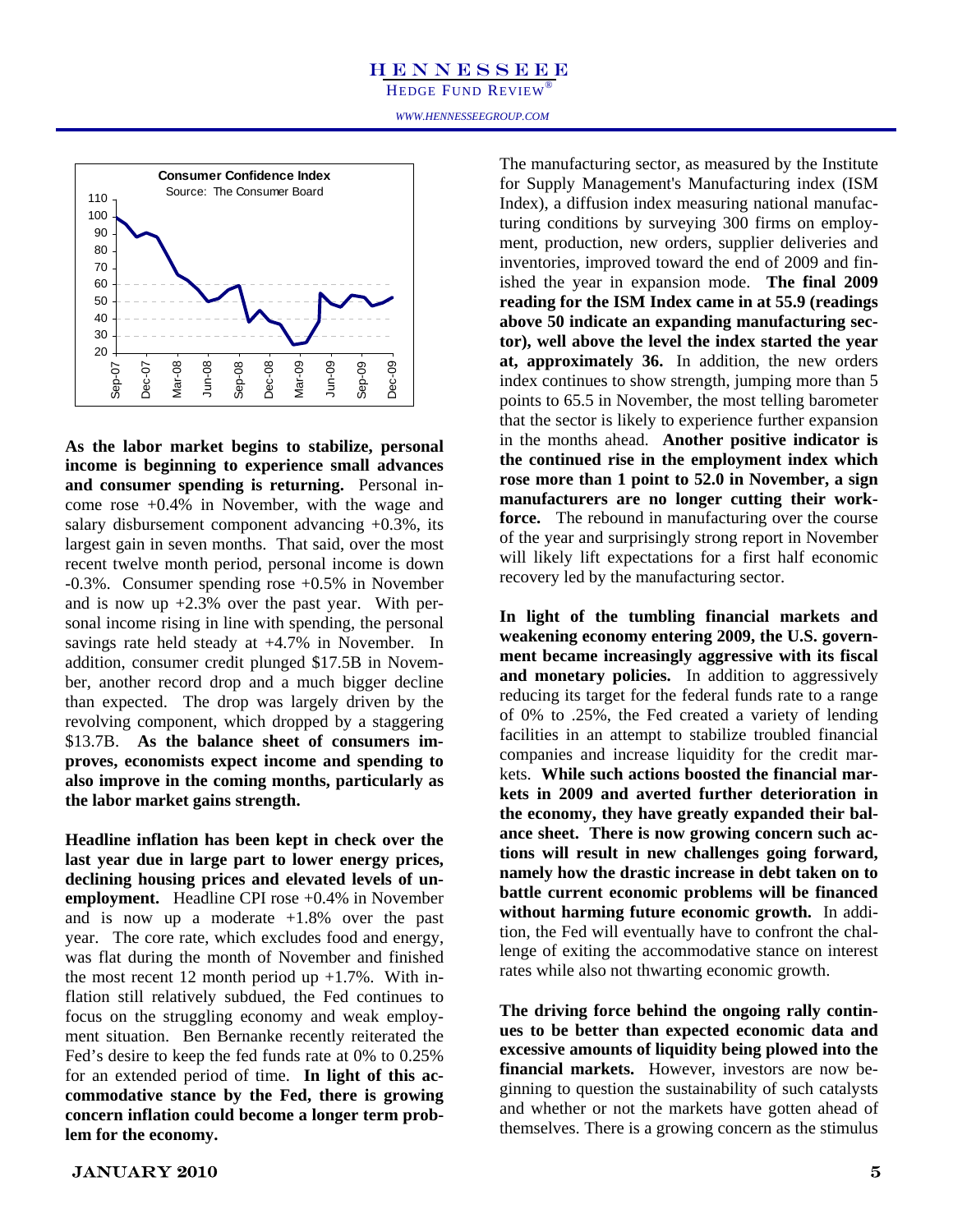HEDGE FUND REVIEW®

*WWW.HENNESSEEGROUP.COM* 



**As the labor market begins to stabilize, personal income is beginning to experience small advances and consumer spending is returning.** Personal income rose +0.4% in November, with the wage and salary disbursement component advancing  $+0.3\%$ , its largest gain in seven months. That said, over the most recent twelve month period, personal income is down -0.3%. Consumer spending rose +0.5% in November and is now up  $+2.3\%$  over the past year. With personal income rising in line with spending, the personal savings rate held steady at +4.7% in November. In addition, consumer credit plunged \$17.5B in November, another record drop and a much bigger decline than expected. The drop was largely driven by the revolving component, which dropped by a staggering \$13.7B. **As the balance sheet of consumers improves, economists expect income and spending to also improve in the coming months, particularly as the labor market gains strength.** 

**Headline inflation has been kept in check over the last year due in large part to lower energy prices, declining housing prices and elevated levels of unemployment.** Headline CPI rose +0.4% in November and is now up a moderate  $+1.8\%$  over the past year. The core rate, which excludes food and energy, was flat during the month of November and finished the most recent 12 month period up  $+1.7\%$ . With inflation still relatively subdued, the Fed continues to focus on the struggling economy and weak employment situation. Ben Bernanke recently reiterated the Fed's desire to keep the fed funds rate at 0% to 0.25% for an extended period of time. **In light of this accommodative stance by the Fed, there is growing concern inflation could become a longer term problem for the economy.** 

The manufacturing sector, as measured by the Institute for Supply Management's Manufacturing index (ISM Index), a diffusion index measuring national manufacturing conditions by surveying 300 firms on employment, production, new orders, supplier deliveries and inventories, improved toward the end of 2009 and finished the year in expansion mode. **The final 2009 reading for the ISM Index came in at 55.9 (readings above 50 indicate an expanding manufacturing sector), well above the level the index started the year at, approximately 36.** In addition, the new orders index continues to show strength, jumping more than 5 points to 65.5 in November, the most telling barometer that the sector is likely to experience further expansion in the months ahead. **Another positive indicator is the continued rise in the employment index which rose more than 1 point to 52.0 in November, a sign manufacturers are no longer cutting their workforce.** The rebound in manufacturing over the course of the year and surprisingly strong report in November will likely lift expectations for a first half economic recovery led by the manufacturing sector.

**In light of the tumbling financial markets and weakening economy entering 2009, the U.S. government became increasingly aggressive with its fiscal**  and monetary policies. In addition to aggressively reducing its target for the federal funds rate to a range of 0% to .25%, the Fed created a variety of lending facilities in an attempt to stabilize troubled financial companies and increase liquidity for the credit markets. **While such actions boosted the financial markets in 2009 and averted further deterioration in the economy, they have greatly expanded their balance sheet. There is now growing concern such actions will result in new challenges going forward, namely how the drastic increase in debt taken on to battle current economic problems will be financed without harming future economic growth.** In addition, the Fed will eventually have to confront the challenge of exiting the accommodative stance on interest rates while also not thwarting economic growth.

**The driving force behind the ongoing rally continues to be better than expected economic data and excessive amounts of liquidity being plowed into the financial markets.** However, investors are now beginning to question the sustainability of such catalysts and whether or not the markets have gotten ahead of themselves. There is a growing concern as the stimulus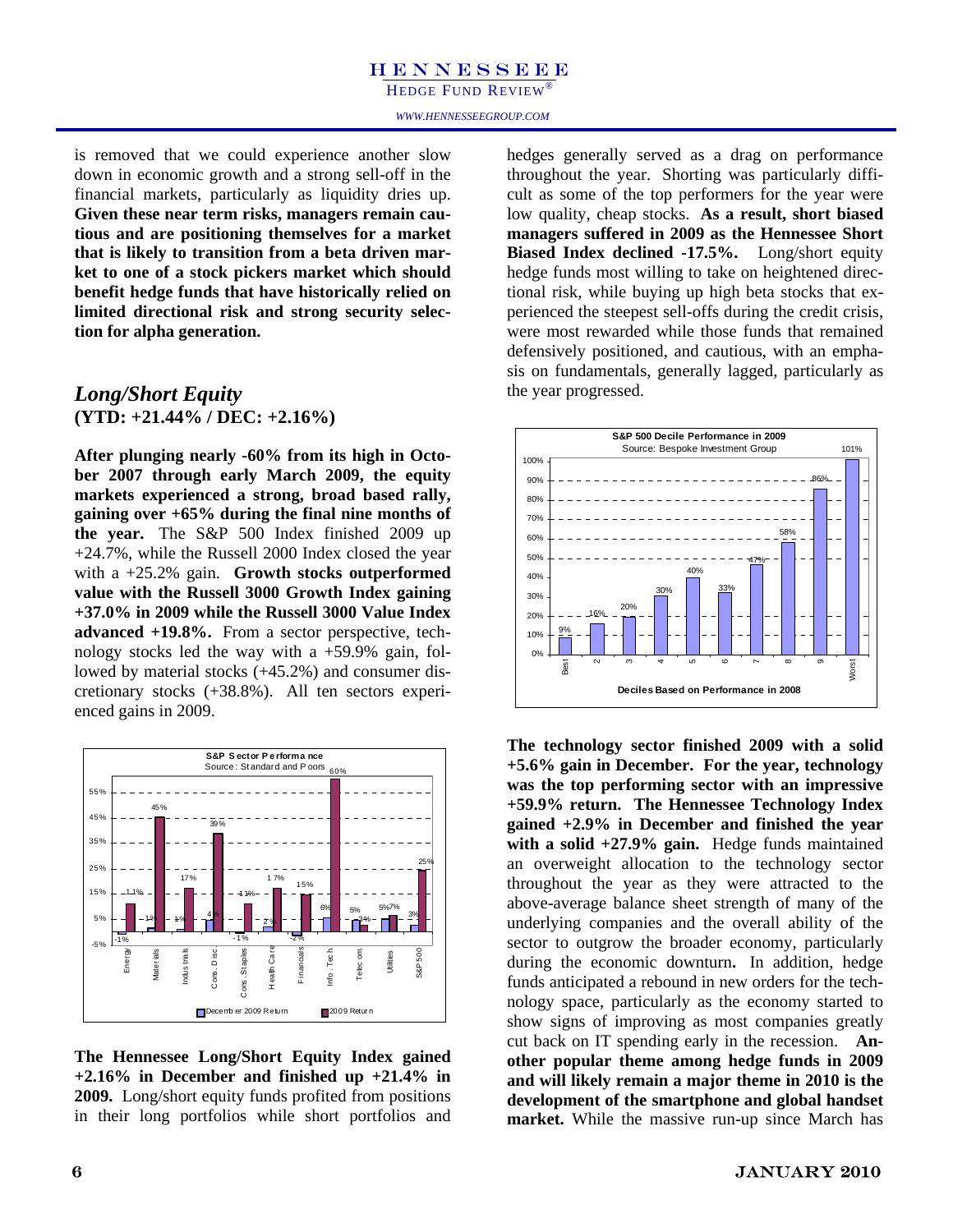HEDGE FUND REVIEW<sup>®</sup>

is removed that we could experience another slow down in economic growth and a strong sell-off in the financial markets, particularly as liquidity dries up. **Given these near term risks, managers remain cautious and are positioning themselves for a market that is likely to transition from a beta driven market to one of a stock pickers market which should benefit hedge funds that have historically relied on limited directional risk and strong security selection for alpha generation.** 

#### *Long/Short Equity*  **(YTD: +21.44% / DEC: +2.16%)**

**After plunging nearly -60% from its high in October 2007 through early March 2009, the equity markets experienced a strong, broad based rally, gaining over +65% during the final nine months of the year.** The S&P 500 Index finished 2009 up +24.7%, while the Russell 2000 Index closed the year with a +25.2% gain. **Growth stocks outperformed value with the Russell 3000 Growth Index gaining +37.0% in 2009 while the Russell 3000 Value Index advanced +19.8%.** From a sector perspective, technology stocks led the way with a  $+59.9\%$  gain, followed by material stocks (+45.2%) and consumer discretionary stocks (+38.8%). All ten sectors experienced gains in 2009.



**The Hennessee Long/Short Equity Index gained +2.16% in December and finished up +21.4% in 2009.** Long/short equity funds profited from positions in their long portfolios while short portfolios and

hedges generally served as a drag on performance throughout the year. Shorting was particularly difficult as some of the top performers for the year were low quality, cheap stocks. **As a result, short biased managers suffered in 2009 as the Hennessee Short Biased Index declined -17.5%.** Long/short equity hedge funds most willing to take on heightened directional risk, while buying up high beta stocks that experienced the steepest sell-offs during the credit crisis, were most rewarded while those funds that remained defensively positioned, and cautious, with an emphasis on fundamentals, generally lagged, particularly as the year progressed.



**The technology sector finished 2009 with a solid +5.6% gain in December. For the year, technology was the top performing sector with an impressive +59.9% return. The Hennessee Technology Index gained +2.9% in December and finished the year with a solid +27.9% gain.** Hedge funds maintained an overweight allocation to the technology sector throughout the year as they were attracted to the above-average balance sheet strength of many of the underlying companies and the overall ability of the sector to outgrow the broader economy, particularly during the economic downturn**.** In addition, hedge funds anticipated a rebound in new orders for the technology space, particularly as the economy started to show signs of improving as most companies greatly cut back on IT spending early in the recession. **Another popular theme among hedge funds in 2009 and will likely remain a major theme in 2010 is the development of the smartphone and global handset market.** While the massive run-up since March has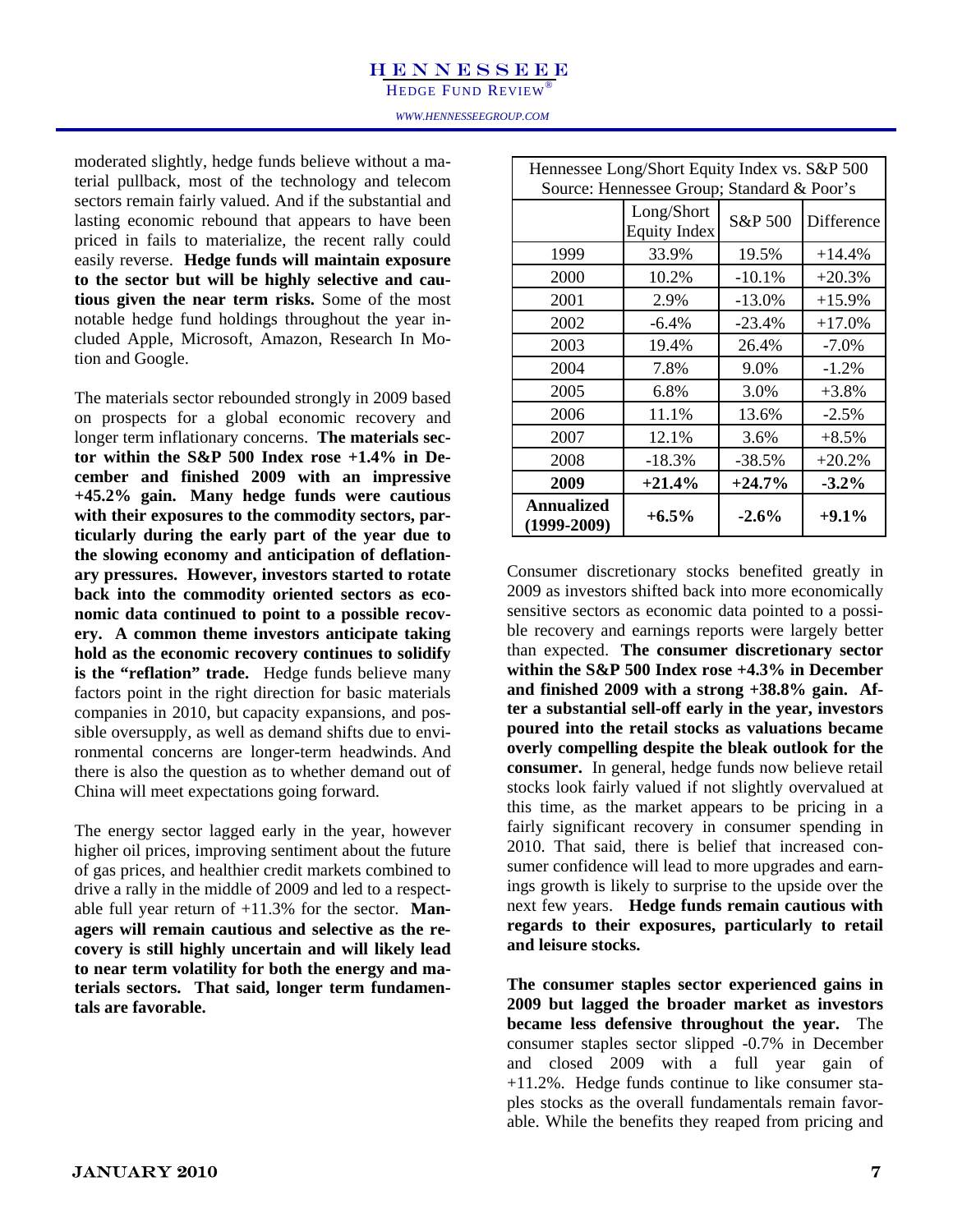HEDGE FUND REVIEW®

moderated slightly, hedge funds believe without a material pullback, most of the technology and telecom sectors remain fairly valued. And if the substantial and lasting economic rebound that appears to have been priced in fails to materialize, the recent rally could easily reverse. **Hedge funds will maintain exposure to the sector but will be highly selective and cautious given the near term risks.** Some of the most notable hedge fund holdings throughout the year included Apple, Microsoft, Amazon, Research In Motion and Google.

The materials sector rebounded strongly in 2009 based on prospects for a global economic recovery and longer term inflationary concerns. **The materials sector within the S&P 500 Index rose +1.4% in December and finished 2009 with an impressive +45.2% gain. Many hedge funds were cautious with their exposures to the commodity sectors, particularly during the early part of the year due to the slowing economy and anticipation of deflationary pressures. However, investors started to rotate back into the commodity oriented sectors as economic data continued to point to a possible recovery. A common theme investors anticipate taking hold as the economic recovery continues to solidify is the "reflation" trade.** Hedge funds believe many factors point in the right direction for basic materials companies in 2010, but capacity expansions, and possible oversupply, as well as demand shifts due to environmental concerns are longer-term headwinds. And there is also the question as to whether demand out of China will meet expectations going forward.

The energy sector lagged early in the year, however higher oil prices, improving sentiment about the future of gas prices, and healthier credit markets combined to drive a rally in the middle of 2009 and led to a respectable full year return of +11.3% for the sector. **Managers will remain cautious and selective as the recovery is still highly uncertain and will likely lead to near term volatility for both the energy and materials sectors. That said, longer term fundamentals are favorable.**

|                                    | Hennessee Long/Short Equity Index vs. S&P 500<br>Source: Hennessee Group; Standard & Poor's |          |            |
|------------------------------------|---------------------------------------------------------------------------------------------|----------|------------|
|                                    | Long/Short<br><b>Equity Index</b>                                                           | S&P 500  | Difference |
| 1999                               | 33.9%                                                                                       | 19.5%    | $+14.4%$   |
| 2000                               | 10.2%                                                                                       | $-10.1%$ | $+20.3%$   |
| 2001                               | 2.9%                                                                                        | $-13.0%$ | $+15.9%$   |
| 2002                               | $-6.4\%$                                                                                    | $-23.4%$ | $+17.0%$   |
| 2003                               | 19.4%                                                                                       | 26.4%    | $-7.0\%$   |
| 2004                               | 7.8%                                                                                        | 9.0%     | $-1.2%$    |
| 2005                               | 6.8%                                                                                        | 3.0%     | $+3.8\%$   |
| 2006                               | 11.1%                                                                                       | 13.6%    | $-2.5%$    |
| 2007                               | 12.1%                                                                                       | 3.6%     | $+8.5%$    |
| 2008                               | $-18.3%$                                                                                    | $-38.5%$ | $+20.2%$   |
| 2009                               | $+21.4%$                                                                                    | $+24.7%$ | $-3.2\%$   |
| <b>Annualized</b><br>$(1999-2009)$ | $+6.5\%$                                                                                    | $-2.6%$  | $+9.1\%$   |

Consumer discretionary stocks benefited greatly in 2009 as investors shifted back into more economically sensitive sectors as economic data pointed to a possible recovery and earnings reports were largely better than expected. **The consumer discretionary sector within the S&P 500 Index rose +4.3% in December and finished 2009 with a strong +38.8% gain. After a substantial sell-off early in the year, investors poured into the retail stocks as valuations became overly compelling despite the bleak outlook for the consumer.** In general, hedge funds now believe retail stocks look fairly valued if not slightly overvalued at this time, as the market appears to be pricing in a fairly significant recovery in consumer spending in 2010. That said, there is belief that increased consumer confidence will lead to more upgrades and earnings growth is likely to surprise to the upside over the next few years. **Hedge funds remain cautious with regards to their exposures, particularly to retail and leisure stocks.**

**The consumer staples sector experienced gains in 2009 but lagged the broader market as investors became less defensive throughout the year.** The consumer staples sector slipped -0.7% in December and closed 2009 with a full year gain of +11.2%.Hedge funds continue to like consumer staples stocks as the overall fundamentals remain favorable. While the benefits they reaped from pricing and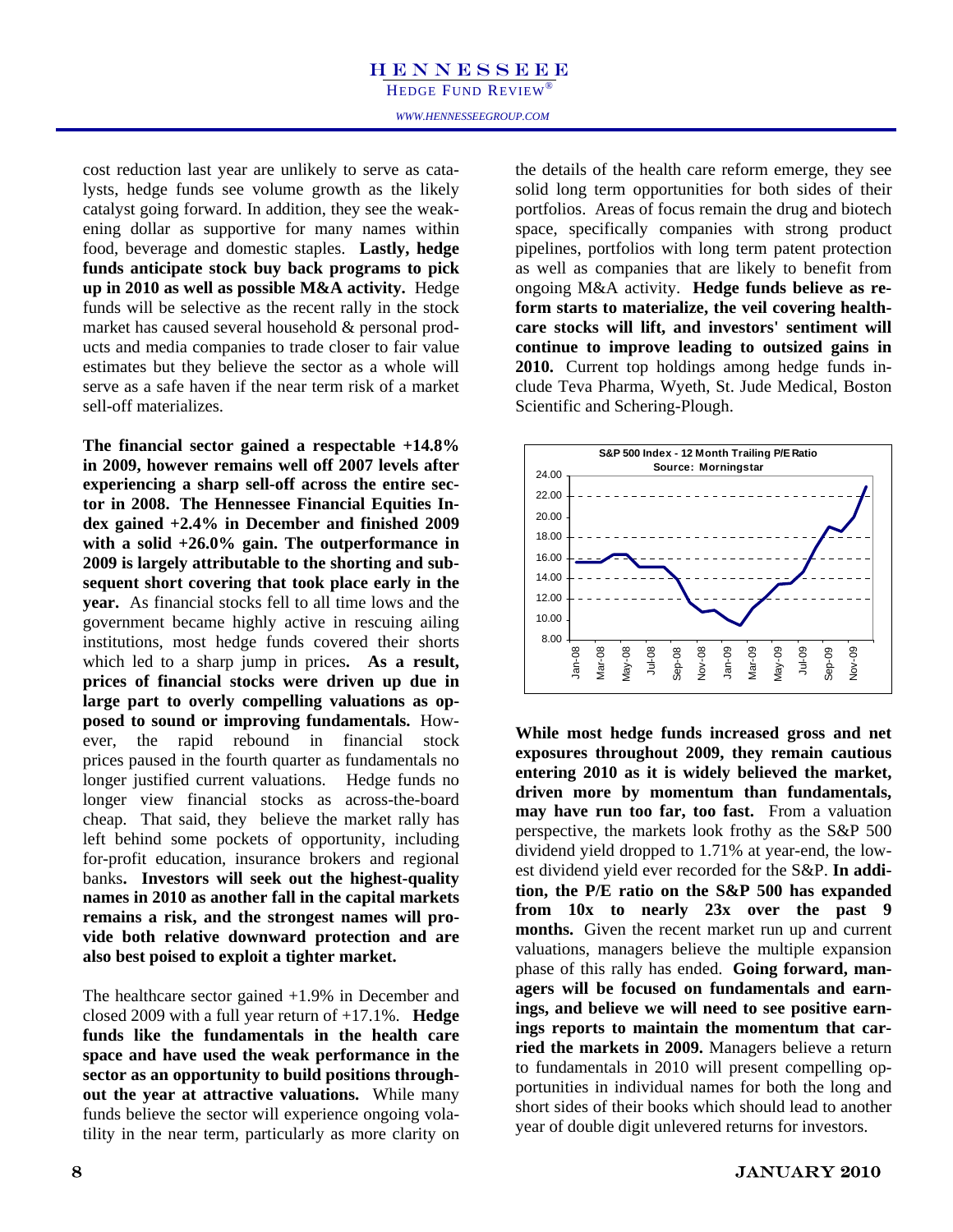HEDGE FUND REVIEW<sup>®</sup>

cost reduction last year are unlikely to serve as catalysts, hedge funds see volume growth as the likely catalyst going forward. In addition, they see the weakening dollar as supportive for many names within food, beverage and domestic staples. **Lastly, hedge funds anticipate stock buy back programs to pick up in 2010 as well as possible M&A activity.** Hedge funds will be selective as the recent rally in the stock market has caused several household & personal products and media companies to trade closer to fair value estimates but they believe the sector as a whole will serve as a safe haven if the near term risk of a market sell-off materializes.

**The financial sector gained a respectable +14.8% in 2009, however remains well off 2007 levels after experiencing a sharp sell-off across the entire sector in 2008. The Hennessee Financial Equities Index gained +2.4% in December and finished 2009 with a solid +26.0% gain. The outperformance in 2009 is largely attributable to the shorting and subsequent short covering that took place early in the year.** As financial stocks fell to all time lows and the government became highly active in rescuing ailing institutions, most hedge funds covered their shorts which led to a sharp jump in prices**. As a result, prices of financial stocks were driven up due in large part to overly compelling valuations as opposed to sound or improving fundamentals.** However, the rapid rebound in financial stock prices paused in the fourth quarter as fundamentals no longer justified current valuations. Hedge funds no longer view financial stocks as across-the-board cheap. That said, they believe the market rally has left behind some pockets of opportunity, including for-profit education, insurance brokers and regional banks**. Investors will seek out the highest-quality names in 2010 as another fall in the capital markets remains a risk, and the strongest names will provide both relative downward protection and are also best poised to exploit a tighter market.** 

The healthcare sector gained +1.9% in December and closed 2009 with a full year return of +17.1%. **Hedge funds like the fundamentals in the health care space and have used the weak performance in the sector as an opportunity to build positions throughout the year at attractive valuations.** While many funds believe the sector will experience ongoing volatility in the near term, particularly as more clarity on the details of the health care reform emerge, they see solid long term opportunities for both sides of their portfolios. Areas of focus remain the drug and biotech space, specifically companies with strong product pipelines, portfolios with long term patent protection as well as companies that are likely to benefit from ongoing M&A activity. **Hedge funds believe as reform starts to materialize, the veil covering healthcare stocks will lift, and investors' sentiment will continue to improve leading to outsized gains in 2010.** Current top holdings among hedge funds include Teva Pharma, Wyeth, St. Jude Medical, Boston Scientific and Schering-Plough.



**While most hedge funds increased gross and net exposures throughout 2009, they remain cautious entering 2010 as it is widely believed the market, driven more by momentum than fundamentals, may have run too far, too fast.** From a valuation perspective, the markets look frothy as the S&P 500 dividend yield dropped to 1.71% at year-end, the lowest dividend yield ever recorded for the S&P. **In addition, the P/E ratio on the S&P 500 has expanded from 10x to nearly 23x over the past 9 months.** Given the recent market run up and current valuations, managers believe the multiple expansion phase of this rally has ended. **Going forward, managers will be focused on fundamentals and earnings, and believe we will need to see positive earnings reports to maintain the momentum that carried the markets in 2009.** Managers believe a return to fundamentals in 2010 will present compelling opportunities in individual names for both the long and short sides of their books which should lead to another year of double digit unlevered returns for investors.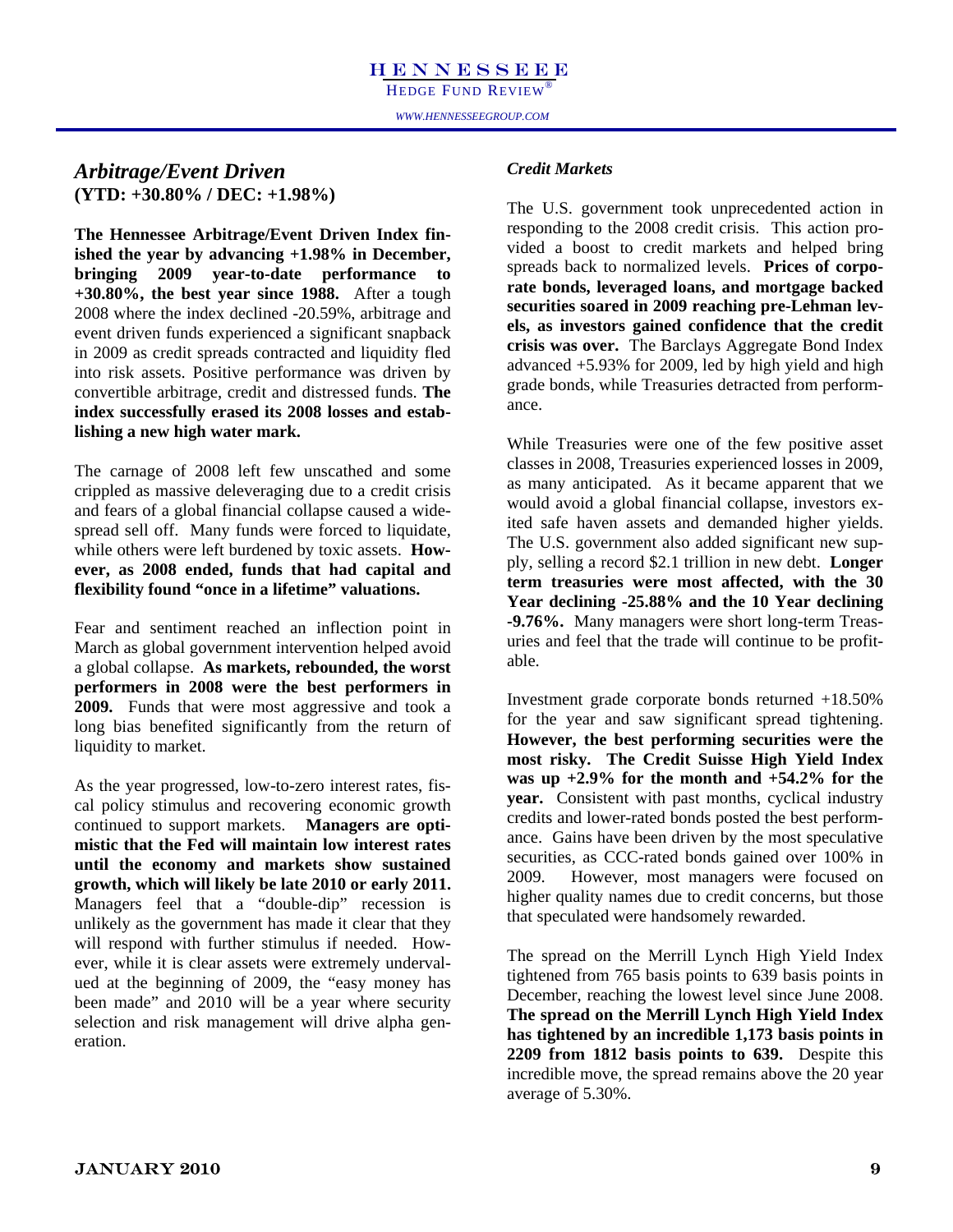#### *Arbitrage/Event Driven* (YTD: +30.80% / DEC: +1.98%)

**The Hennessee Arbitrage/Event Driven Index finished the year by advancing +1.98% in December, bringing 2009 year-to-date performance to +30.80%, the best year since 1988.** After a tough 2008 where the index declined -20.59%, arbitrage and event driven funds experienced a significant snapback in 2009 as credit spreads contracted and liquidity fled into risk assets. Positive performance was driven by convertible arbitrage, credit and distressed funds. **The index successfully erased its 2008 losses and establishing a new high water mark.** 

The carnage of 2008 left few unscathed and some crippled as massive deleveraging due to a credit crisis and fears of a global financial collapse caused a widespread sell off. Many funds were forced to liquidate, while others were left burdened by toxic assets. **However, as 2008 ended, funds that had capital and flexibility found "once in a lifetime" valuations.** 

Fear and sentiment reached an inflection point in March as global government intervention helped avoid a global collapse. **As markets, rebounded, the worst performers in 2008 were the best performers in 2009.** Funds that were most aggressive and took a long bias benefited significantly from the return of liquidity to market.

As the year progressed, low-to-zero interest rates, fiscal policy stimulus and recovering economic growth continued to support markets. **Managers are optimistic that the Fed will maintain low interest rates until the economy and markets show sustained growth, which will likely be late 2010 or early 2011.**  Managers feel that a "double-dip" recession is unlikely as the government has made it clear that they will respond with further stimulus if needed. However, while it is clear assets were extremely undervalued at the beginning of 2009, the "easy money has been made" and 2010 will be a year where security selection and risk management will drive alpha generation.

#### *Credit Markets*

 $\begin{array}{ll}\n n \\
 \hline\n H & \text{1.98\%}\n \end{array}$ <br>  $\begin{array}{ll}\n \text{The U.S. government took unprecedented action in}\n \end{array}$ responding to the 2008 credit crisis. This action provided a boost to credit markets and helped bring spreads back to normalized levels. **Prices of corporate bonds, leveraged loans, and mortgage backed securities soared in 2009 reaching pre-Lehman levels, as investors gained confidence that the credit crisis was over.** The Barclays Aggregate Bond Index advanced +5.93% for 2009, led by high yield and high grade bonds, while Treasuries detracted from performance.

> While Treasuries were one of the few positive asset classes in 2008, Treasuries experienced losses in 2009, as many anticipated. As it became apparent that we would avoid a global financial collapse, investors exited safe haven assets and demanded higher yields. The U.S. government also added significant new supply, selling a record \$2.1 trillion in new debt. **Longer term treasuries were most affected, with the 30 Year declining -25.88% and the 10 Year declining -9.76%.** Many managers were short long-term Treasuries and feel that the trade will continue to be profitable.

> Investment grade corporate bonds returned +18.50% for the year and saw significant spread tightening. **However, the best performing securities were the most risky. The Credit Suisse High Yield Index was up +2.9% for the month and +54.2% for the year.** Consistent with past months, cyclical industry credits and lower-rated bonds posted the best performance. Gains have been driven by the most speculative securities, as CCC-rated bonds gained over 100% in 2009. However, most managers were focused on higher quality names due to credit concerns, but those that speculated were handsomely rewarded.

> The spread on the Merrill Lynch High Yield Index tightened from 765 basis points to 639 basis points in December, reaching the lowest level since June 2008. **The spread on the Merrill Lynch High Yield Index has tightened by an incredible 1,173 basis points in 2209 from 1812 basis points to 639.** Despite this incredible move, the spread remains above the 20 year average of 5.30%.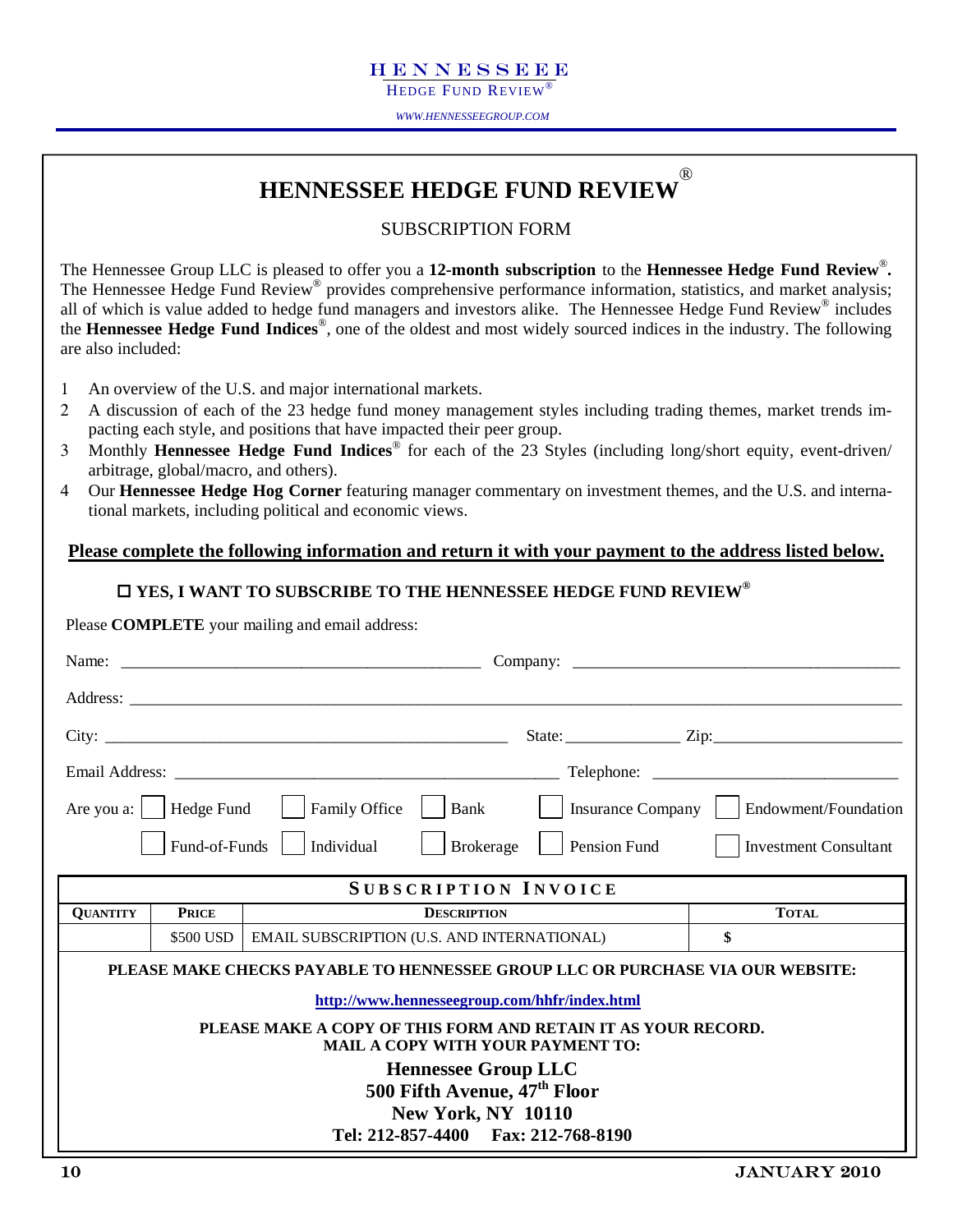HEDGE FUND REVIEW<sup>®</sup>

*WWW.HENNESSEEGROUP.COM* 

#### **HENNESSEE HEDGE FUND REVIEW** ®

#### SUBSCRIPTION FORM

The Hennessee Group LLC is pleased to offer you a **12-month subscription** to the **Hennessee Hedge Fund Review**®**.** The Hennessee Hedge Fund Review<sup>®</sup> provides comprehensive performance information, statistics, and market analysis; all of which is value added to hedge fund managers and investors alike. The Hennessee Hedge Fund Review® includes the **Hennessee Hedge Fund Indices**®, one of the oldest and most widely sourced indices in the industry. The following are also included:

- 1 An overview of the U.S. and major international markets.
- 2 A discussion of each of the 23 hedge fund money management styles including trading themes, market trends impacting each style, and positions that have impacted their peer group.
- 3 Monthly **Hennessee Hedge Fund Indices**® for each of the 23 Styles (including long/short equity, event-driven/ arbitrage, global/macro, and others).
- 4 Our **Hennessee Hedge Hog Corner** featuring manager commentary on investment themes, and the U.S. and international markets, including political and economic views.

#### **Please complete the following information and return it with your payment to the address listed below.**

#### **YES, I WANT TO SUBSCRIBE TO THE HENNESSEE HEDGE FUND REVIEW®**

Please **COMPLETE** your mailing and email address:

|                 |               | Are you a:     Hedge Fund       Family Office<br>$ $ Bank                                                                                  |                     | Insurance Company     Endowment/Foundation |
|-----------------|---------------|--------------------------------------------------------------------------------------------------------------------------------------------|---------------------|--------------------------------------------|
|                 | Fund-of-Funds | $\vert$ Individual<br>Brokerage                                                                                                            | <b>Pension Fund</b> | <b>Investment Consultant</b>               |
|                 |               | <b>SUBSCRIPTION INVOICE</b>                                                                                                                |                     |                                            |
| <b>QUANTITY</b> | <b>PRICE</b>  | <b>DESCRIPTION</b>                                                                                                                         |                     | <b>TOTAL</b>                               |
|                 | \$500 USD     | EMAIL SUBSCRIPTION (U.S. AND INTERNATIONAL)                                                                                                |                     | \$                                         |
|                 |               | PLEASE MAKE CHECKS PAYABLE TO HENNESSEE GROUP LLC OR PURCHASE VIA OUR WEBSITE:<br>http://www.hennesseegroup.com/hhfr/index.html            |                     |                                            |
|                 |               | PLEASE MAKE A COPY OF THIS FORM AND RETAIN IT AS YOUR RECORD.<br><b>MAIL A COPY WITH YOUR PAYMENT TO:</b>                                  |                     |                                            |
|                 |               | <b>Hennessee Group LLC</b><br>500 Fifth Avenue, 47 <sup>th</sup> Floor<br><b>New York, NY 10110</b><br>Tel: 212-857-4400 Fax: 212-768-8190 |                     |                                            |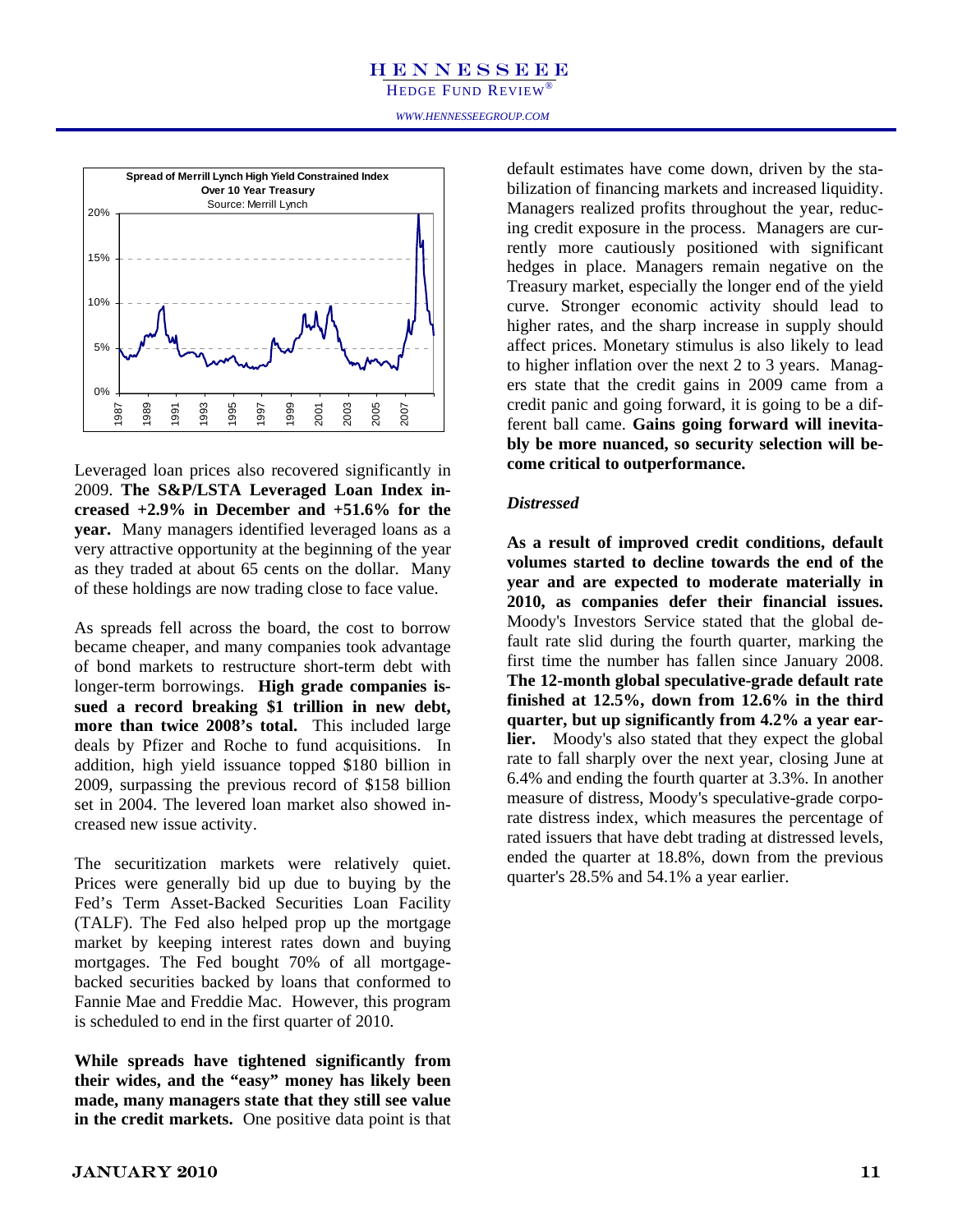HEDGE FUND REVIEW®<br>www.hennesseegroup.com HEDGE FUND REVIEW<sup>®</sup>



Leveraged loan prices also recovered significantly in 2009. **The S&P/LSTA Leveraged Loan Index increased +2.9% in December and +51.6% for the year.** Many managers identified leveraged loans as a very attractive opportunity at the beginning of the year as they traded at about 65 cents on the dollar. Many of these holdings are now trading close to face value.

As spreads fell across the board, the cost to borrow became cheaper, and many companies took advantage of bond markets to restructure short-term debt with longer-term borrowings. **High grade companies issued a record breaking \$1 trillion in new debt, more than twice 2008's total.** This included large deals by Pfizer and Roche to fund acquisitions. In addition, high yield issuance topped \$180 billion in 2009, surpassing the previous record of \$158 billion set in 2004. The levered loan market also showed increased new issue activity.

The securitization markets were relatively quiet. Prices were generally bid up due to buying by the Fed's Term Asset-Backed Securities Loan Facility (TALF). The Fed also helped prop up the mortgage market by keeping interest rates down and buying mortgages. The Fed bought 70% of all mortgagebacked securities backed by loans that conformed to Fannie Mae and Freddie Mac. However, this program is scheduled to end in the first quarter of 2010.

**While spreads have tightened significantly from their wides, and the "easy" money has likely been made, many managers state that they still see value in the credit markets.** One positive data point is that

Neld Constrained Index<br>
Treasury bilization of financing markets and increased liquidity.<br>
Il Lynch<br>
Hugh Managers realized profits throughout the year reducdefault estimates have come down, driven by the sta-Managers realized profits throughout the year, reducing credit exposure in the process. Managers are currently more cautiously positioned with significant hedges in place. Managers remain negative on the Treasury market, especially the longer end of the yield curve. Stronger economic activity should lead to higher rates, and the sharp increase in supply should affect prices. Monetary stimulus is also likely to lead to higher inflation over the next 2 to 3 years. Managers state that the credit gains in 2009 came from a credit panic and going forward, it is going to be a different ball came. **Gains going forward will inevitably be more nuanced, so security selection will become critical to outperformance.**

#### *Distressed*

**As a result of improved credit conditions, default volumes started to decline towards the end of the year and are expected to moderate materially in 2010, as companies defer their financial issues.**  Moody's Investors Service stated that the global default rate slid during the fourth quarter, marking the first time the number has fallen since January 2008. **The 12-month global speculative-grade default rate finished at 12.5%, down from 12.6% in the third quarter, but up significantly from 4.2% a year earlier.** Moody's also stated that they expect the global rate to fall sharply over the next year, closing June at 6.4% and ending the fourth quarter at 3.3%. In another measure of distress, Moody's speculative-grade corporate distress index, which measures the percentage of rated issuers that have debt trading at distressed levels, ended the quarter at 18.8%, down from the previous quarter's 28.5% and 54.1% a year earlier.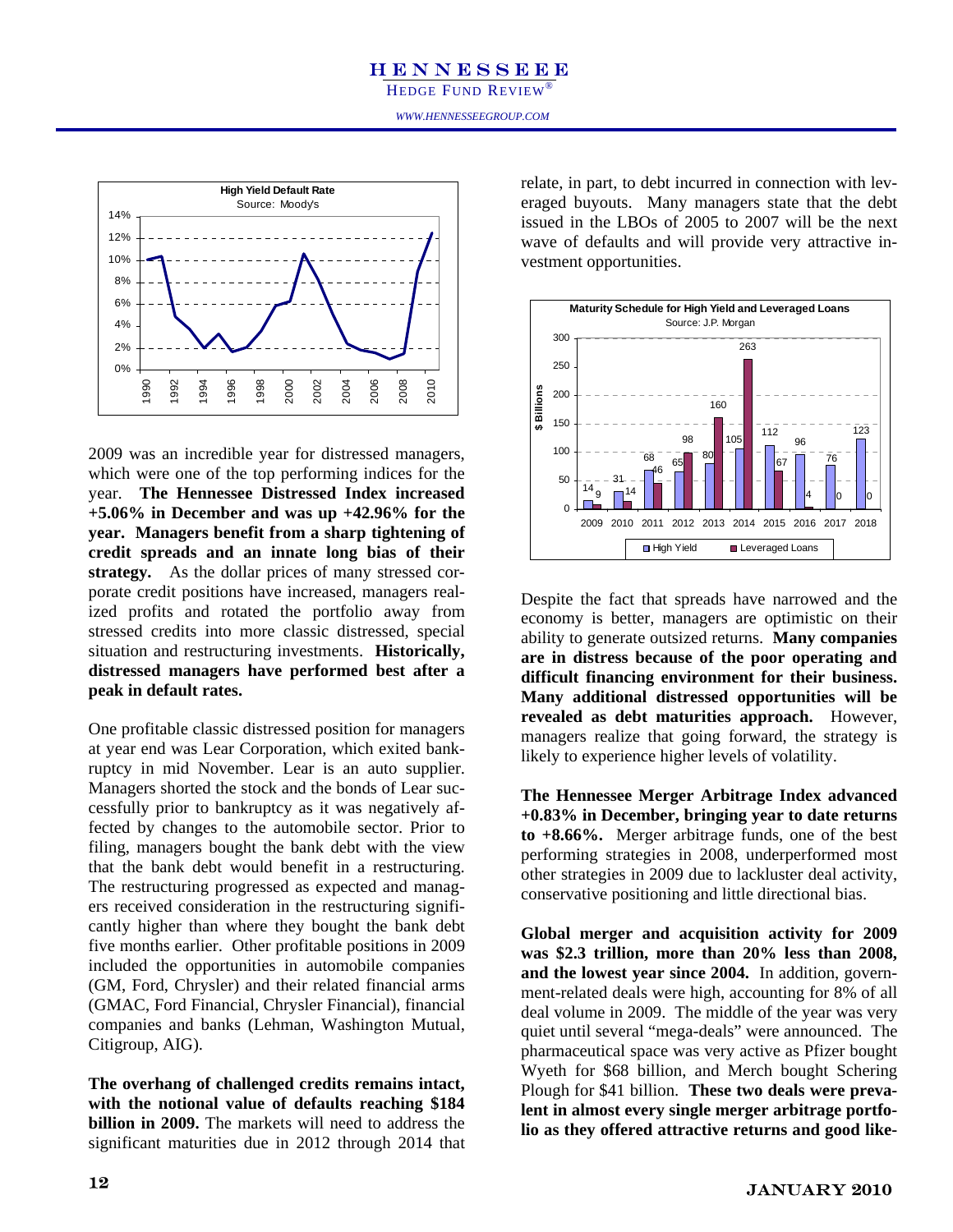

2009 was an incredible year for distressed managers, which were one of the top performing indices for the year. **The Hennessee Distressed Index increased +5.06% in December and was up +42.96% for the year. Managers benefit from a sharp tightening of credit spreads and an innate long bias of their strategy.** As the dollar prices of many stressed corporate credit positions have increased, managers realized profits and rotated the portfolio away from stressed credits into more classic distressed, special situation and restructuring investments. **Historically, distressed managers have performed best after a peak in default rates.** 

One profitable classic distressed position for managers at year end was Lear Corporation, which exited bankruptcy in mid November. Lear is an auto supplier. Managers shorted the stock and the bonds of Lear successfully prior to bankruptcy as it was negatively affected by changes to the automobile sector. Prior to filing, managers bought the bank debt with the view that the bank debt would benefit in a restructuring. The restructuring progressed as expected and managers received consideration in the restructuring significantly higher than where they bought the bank debt five months earlier. Other profitable positions in 2009 included the opportunities in automobile companies (GM, Ford, Chrysler) and their related financial arms (GMAC, Ford Financial, Chrysler Financial), financial companies and banks (Lehman, Washington Mutual, Citigroup, AIG).

**The overhang of challenged credits remains intact, with the notional value of defaults reaching \$184 billion in 2009.** The markets will need to address the significant maturities due in 2012 through 2014 that relate, in part, to debt incurred in connection with leveraged buyouts. Many managers state that the debt issued in the LBOs of 2005 to 2007 will be the next wave of defaults and will provide very attractive investment opportunities.



Despite the fact that spreads have narrowed and the economy is better, managers are optimistic on their ability to generate outsized returns. **Many companies are in distress because of the poor operating and difficult financing environment for their business. Many additional distressed opportunities will be revealed as debt maturities approach.** However, managers realize that going forward, the strategy is likely to experience higher levels of volatility.

**The Hennessee Merger Arbitrage Index advanced +0.83% in December, bringing year to date returns to +8.66%.** Merger arbitrage funds, one of the best performing strategies in 2008, underperformed most other strategies in 2009 due to lackluster deal activity, conservative positioning and little directional bias.

**Global merger and acquisition activity for 2009 was \$2.3 trillion, more than 20% less than 2008, and the lowest year since 2004.** In addition, government-related deals were high, accounting for 8% of all deal volume in 2009. The middle of the year was very quiet until several "mega-deals" were announced. The pharmaceutical space was very active as Pfizer bought Wyeth for \$68 billion, and Merch bought Schering Plough for \$41 billion. **These two deals were prevalent in almost every single merger arbitrage portfolio as they offered attractive returns and good like-**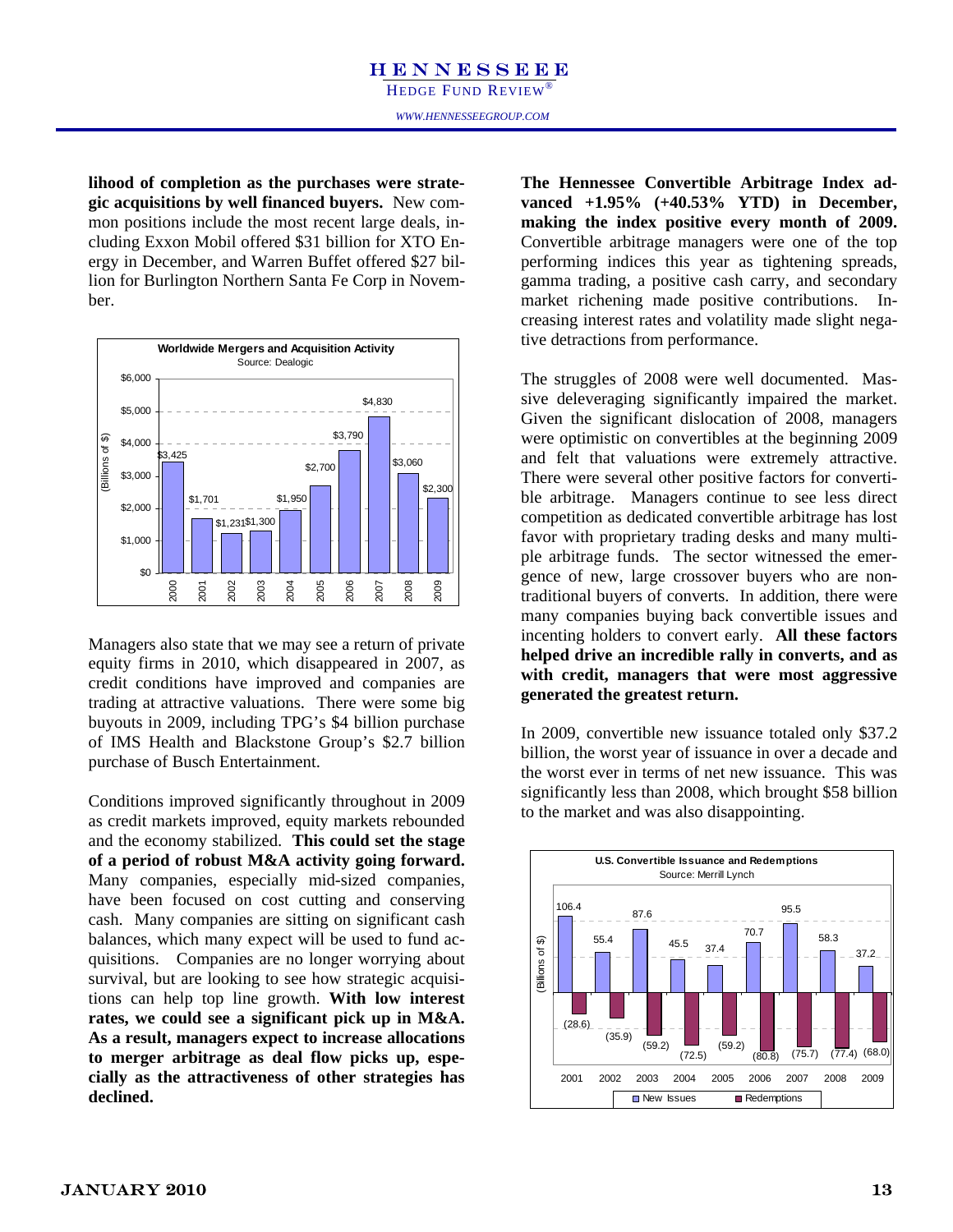lihood of completion as the purchases were strate**gic acquisitions by well financed buyers.** New common positions include the most recent large deals, including Exxon Mobil offered \$31 billion for XTO Energy in December, and Warren Buffet offered \$27 billion for Burlington Northern Santa Fe Corp in November.



Managers also state that we may see a return of private equity firms in 2010, which disappeared in 2007, as credit conditions have improved and companies are trading at attractive valuations. There were some big buyouts in 2009, including TPG's \$4 billion purchase of IMS Health and Blackstone Group's \$2.7 billion purchase of Busch Entertainment.

Conditions improved significantly throughout in 2009 as credit markets improved, equity markets rebounded and the economy stabilized. **This could set the stage of a period of robust M&A activity going forward.**  Many companies, especially mid-sized companies, have been focused on cost cutting and conserving cash. Many companies are sitting on significant cash balances, which many expect will be used to fund acquisitions. Companies are no longer worrying about survival, but are looking to see how strategic acquisitions can help top line growth. **With low interest rates, we could see a significant pick up in M&A. As a result, managers expect to increase allocations to merger arbitrage as deal flow picks up, especially as the attractiveness of other strategies has declined.** 

the purchases were strate-<br> **The Hennessee Convertible Arbitrage Index ad-**<br> **vanced +1.95%** (+40.53% YTD) in December, **The Hennessee Convertible Arbitrage Index admaking the index positive every month of 2009.**  Convertible arbitrage managers were one of the top performing indices this year as tightening spreads, gamma trading, a positive cash carry, and secondary market richening made positive contributions. Increasing interest rates and volatility made slight negative detractions from performance.

> The struggles of 2008 were well documented. Massive deleveraging significantly impaired the market. Given the significant dislocation of 2008, managers were optimistic on convertibles at the beginning 2009 and felt that valuations were extremely attractive. There were several other positive factors for convertible arbitrage. Managers continue to see less direct competition as dedicated convertible arbitrage has lost favor with proprietary trading desks and many multiple arbitrage funds. The sector witnessed the emergence of new, large crossover buyers who are nontraditional buyers of converts. In addition, there were many companies buying back convertible issues and incenting holders to convert early. **All these factors helped drive an incredible rally in converts, and as with credit, managers that were most aggressive generated the greatest return.**

> In 2009, convertible new issuance totaled only \$37.2 billion, the worst year of issuance in over a decade and the worst ever in terms of net new issuance. This was significantly less than 2008, which brought \$58 billion to the market and was also disappointing.

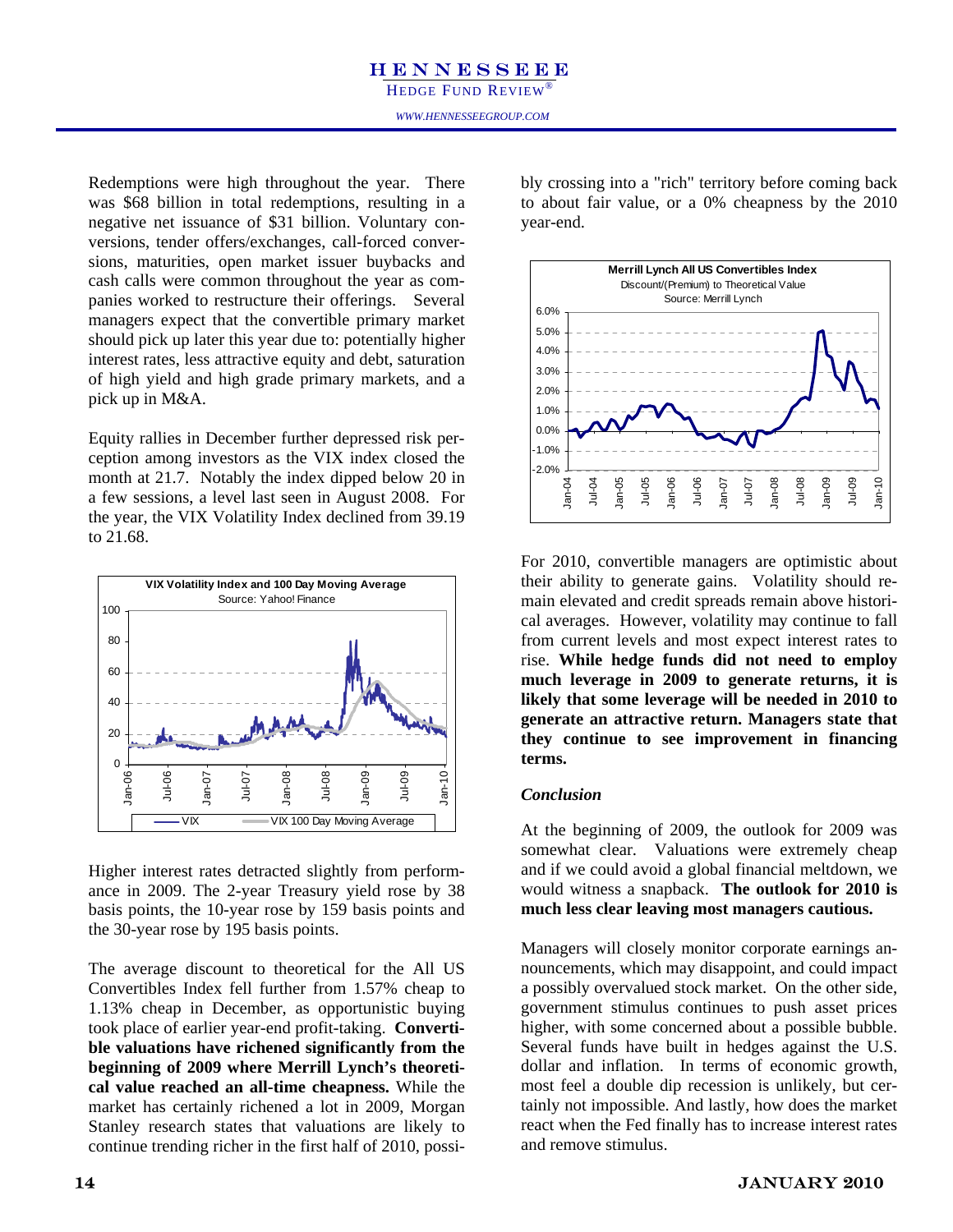#### **HENNESSEEE** *WWW.HENNESSEEGROUP.COM*  HEDGE FUND REVIEW®

Redemptions were high throughout the year. There was \$68 billion in total redemptions, resulting in a negative net issuance of \$31 billion. Voluntary conversions, tender offers/exchanges, call-forced conversions, maturities, open market issuer buybacks and cash calls were common throughout the year as companies worked to restructure their offerings. Several managers expect that the convertible primary market should pick up later this year due to: potentially higher interest rates, less attractive equity and debt, saturation of high yield and high grade primary markets, and a pick up in M&A.

Equity rallies in December further depressed risk perception among investors as the VIX index closed the month at 21.7. Notably the index dipped below 20 in a few sessions, a level last seen in August 2008. For the year, the VIX Volatility Index declined from 39.19 to 21.68.



Higher interest rates detracted slightly from performance in 2009. The 2-year Treasury yield rose by 38 basis points, the 10-year rose by 159 basis points and the 30-year rose by 195 basis points.

The average discount to theoretical for the All US Convertibles Index fell further from 1.57% cheap to 1.13% cheap in December, as opportunistic buying took place of earlier year-end profit-taking. **Convertible valuations have richened significantly from the beginning of 2009 where Merrill Lynch's theoretical value reached an all-time cheapness.** While the market has certainly richened a lot in 2009, Morgan Stanley research states that valuations are likely to continue trending richer in the first half of 2010, possibly crossing into a "rich" territory before coming back to about fair value, or a 0% cheapness by the 2010 year-end.



For 2010, convertible managers are optimistic about their ability to generate gains. Volatility should remain elevated and credit spreads remain above historical averages. However, volatility may continue to fall from current levels and most expect interest rates to rise. **While hedge funds did not need to employ much leverage in 2009 to generate returns, it is likely that some leverage will be needed in 2010 to generate an attractive return. Managers state that they continue to see improvement in financing terms.**

#### *Conclusion*

At the beginning of 2009, the outlook for 2009 was somewhat clear. Valuations were extremely cheap and if we could avoid a global financial meltdown, we would witness a snapback. **The outlook for 2010 is much less clear leaving most managers cautious.**

Managers will closely monitor corporate earnings announcements, which may disappoint, and could impact a possibly overvalued stock market. On the other side, government stimulus continues to push asset prices higher, with some concerned about a possible bubble. Several funds have built in hedges against the U.S. dollar and inflation. In terms of economic growth, most feel a double dip recession is unlikely, but certainly not impossible. And lastly, how does the market react when the Fed finally has to increase interest rates and remove stimulus.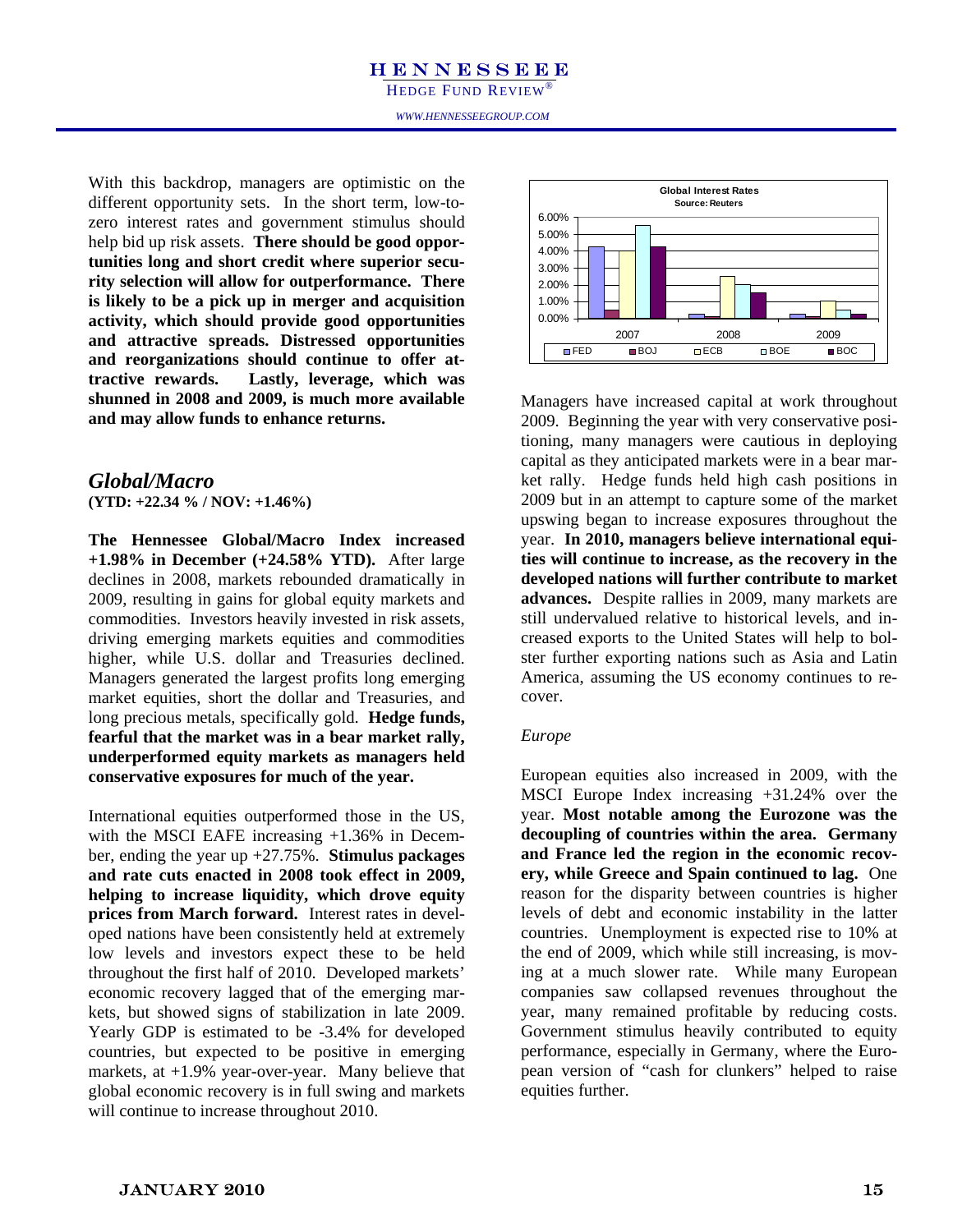HEDGE FUND REVIEW®<br>www.hennesseegroup.com HEDGE FUND REVIEW<sup>®</sup>

With this backdrop, different opportunity sets. In the short term, low-tozero interest rates and government stimulus should help bid up risk assets. **There should be good opportunities long and short credit where superior security selection will allow for outperformance. There is likely to be a pick up in merger and acquisition activity, which should provide good opportunities and attractive spreads. Distressed opportunities and reorganizations should continue to offer attractive rewards. Lastly, leverage, which was shunned in 2008 and 2009, is much more available and may allow funds to enhance returns.**

#### *Global/Macro*  **(YTD: +22.34 % / NOV: +1.46%)**

**The Hennessee Global/Macro Index increased +1.98% in December (+24.58% YTD).** After large declines in 2008, markets rebounded dramatically in 2009, resulting in gains for global equity markets and commodities. Investors heavily invested in risk assets, driving emerging markets equities and commodities higher, while U.S. dollar and Treasuries declined. Managers generated the largest profits long emerging market equities, short the dollar and Treasuries, and long precious metals, specifically gold. **Hedge funds, fearful that the market was in a bear market rally, underperformed equity markets as managers held conservative exposures for much of the year.** 

International equities outperformed those in the US, with the MSCI EAFE increasing +1.36% in December, ending the year up +27.75%. **Stimulus packages and rate cuts enacted in 2008 took effect in 2009, helping to increase liquidity, which drove equity prices from March forward.** Interest rates in developed nations have been consistently held at extremely low levels and investors expect these to be held throughout the first half of 2010. Developed markets' economic recovery lagged that of the emerging markets, but showed signs of stabilization in late 2009. Yearly GDP is estimated to be -3.4% for developed countries, but expected to be positive in emerging markets, at  $+1.9\%$  year-over-year. Many believe that global economic recovery is in full swing and markets will continue to increase throughout 2010.



Managers have increased capital at work throughout 2009. Beginning the year with very conservative positioning, many managers were cautious in deploying capital as they anticipated markets were in a bear market rally. Hedge funds held high cash positions in 2009 but in an attempt to capture some of the market upswing began to increase exposures throughout the year. **In 2010, managers believe international equities will continue to increase, as the recovery in the developed nations will further contribute to market advances.** Despite rallies in 2009, many markets are still undervalued relative to historical levels, and increased exports to the United States will help to bolster further exporting nations such as Asia and Latin America, assuming the US economy continues to recover.

#### *Europe*

European equities also increased in 2009, with the MSCI Europe Index increasing +31.24% over the year. **Most notable among the Eurozone was the decoupling of countries within the area. Germany and France led the region in the economic recovery, while Greece and Spain continued to lag.** One reason for the disparity between countries is higher levels of debt and economic instability in the latter countries. Unemployment is expected rise to 10% at the end of 2009, which while still increasing, is moving at a much slower rate. While many European companies saw collapsed revenues throughout the year, many remained profitable by reducing costs. Government stimulus heavily contributed to equity performance, especially in Germany, where the European version of "cash for clunkers" helped to raise equities further.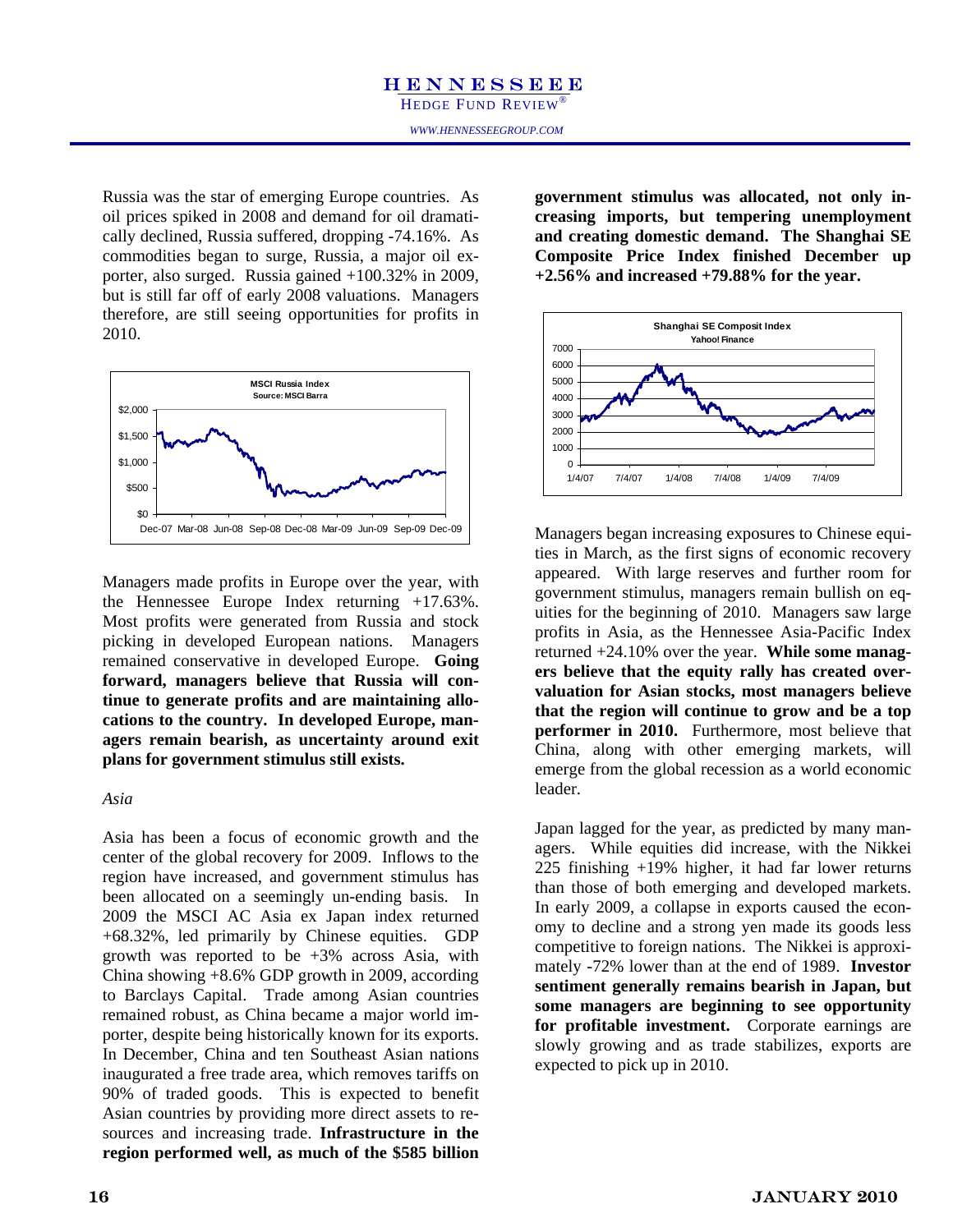Russia was the star of emerging Europe countries. As oil prices spiked in 2008 and demand for oil dramatically declined, Russia suffered, dropping -74.16%. As commodities began to surge, Russia, a major oil exporter, also surged. Russia gained +100.32% in 2009, but is still far off of early 2008 valuations. Managers therefore, are still seeing opportunities for profits in 2010.



Managers made profits in Europe over the year, with the Hennessee Europe Index returning +17.63%. Most profits were generated from Russia and stock picking in developed European nations. Managers remained conservative in developed Europe. **Going forward, managers believe that Russia will continue to generate profits and are maintaining allocations to the country. In developed Europe, managers remain bearish, as uncertainty around exit plans for government stimulus still exists.** 

#### *Asia*

Asia has been a focus of economic growth and the center of the global recovery for 2009. Inflows to the region have increased, and government stimulus has been allocated on a seemingly un-ending basis. In 2009 the MSCI AC Asia ex Japan index returned +68.32%, led primarily by Chinese equities. GDP growth was reported to be +3% across Asia, with China showing +8.6% GDP growth in 2009, according to Barclays Capital. Trade among Asian countries remained robust, as China became a major world importer, despite being historically known for its exports. In December, China and ten Southeast Asian nations inaugurated a free trade area, which removes tariffs on 90% of traded goods. This is expected to benefit Asian countries by providing more direct assets to resources and increasing trade. **Infrastructure in the region performed well, as much of the \$585 billion**  **government stimulus was allocated, not only increasing imports, but tempering unemployment and creating domestic demand. The Shanghai SE Composite Price Index finished December up +2.56% and increased +79.88% for the year.** 



Managers began increasing exposures to Chinese equities in March, as the first signs of economic recovery appeared. With large reserves and further room for government stimulus, managers remain bullish on equities for the beginning of 2010. Managers saw large profits in Asia, as the Hennessee Asia-Pacific Index returned +24.10% over the year. **While some managers believe that the equity rally has created overvaluation for Asian stocks, most managers believe that the region will continue to grow and be a top performer in 2010.** Furthermore, most believe that China, along with other emerging markets, will emerge from the global recession as a world economic leader.

Japan lagged for the year, as predicted by many managers. While equities did increase, with the Nikkei 225 finishing +19% higher, it had far lower returns than those of both emerging and developed markets. In early 2009, a collapse in exports caused the economy to decline and a strong yen made its goods less competitive to foreign nations. The Nikkei is approximately -72% lower than at the end of 1989. **Investor sentiment generally remains bearish in Japan, but some managers are beginning to see opportunity for profitable investment.** Corporate earnings are slowly growing and as trade stabilizes, exports are expected to pick up in 2010.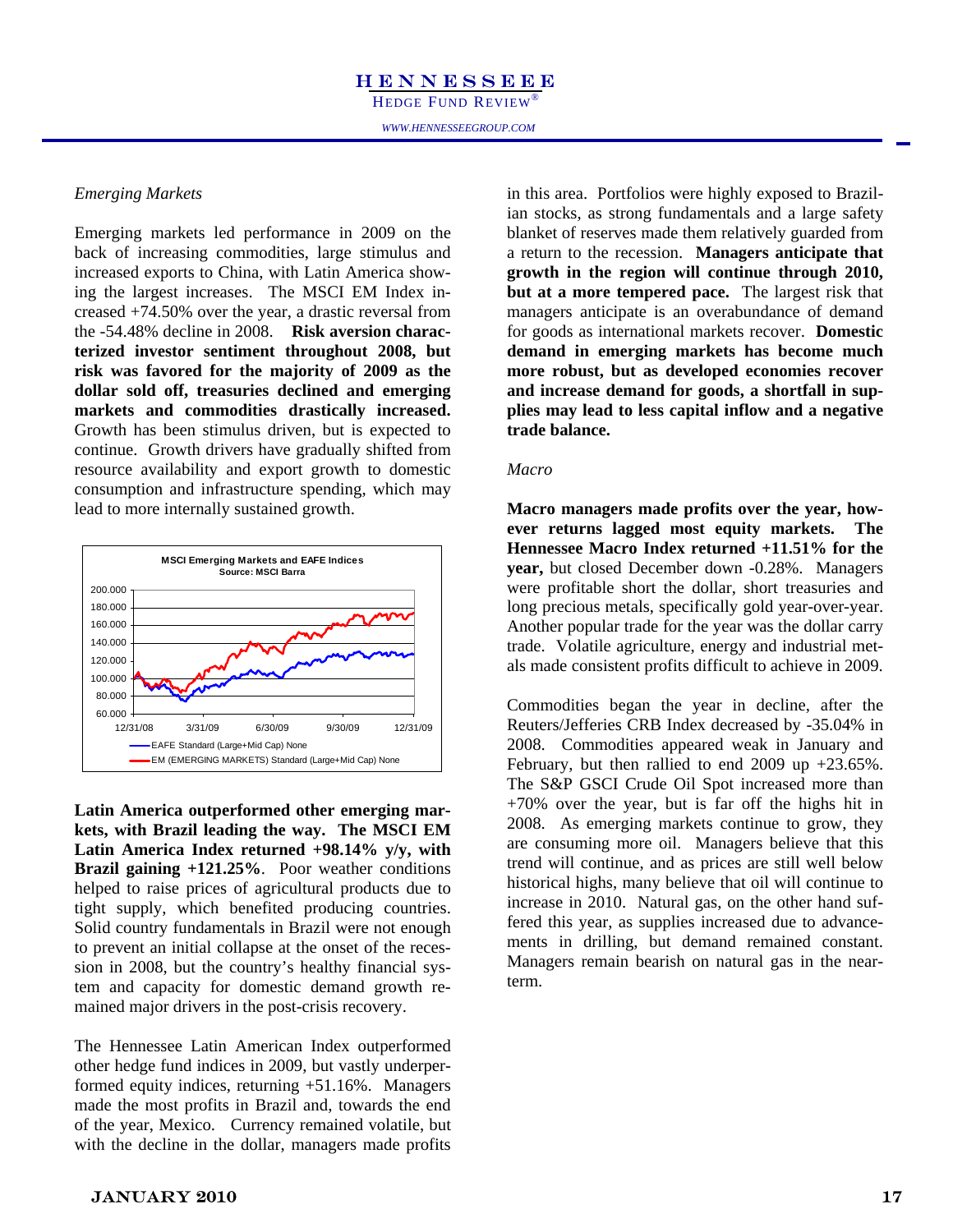#### *Emerging Markets*

 back of increasing commodities, large stimulus and Emerging markets led performance in 2009 on the increased exports to China, with Latin America showing the largest increases. The MSCI EM Index increased +74.50% over the year, a drastic reversal from the -54.48% decline in 2008. **Risk aversion characterized investor sentiment throughout 2008, but risk was favored for the majority of 2009 as the dollar sold off, treasuries declined and emerging markets and commodities drastically increased.** Growth has been stimulus driven, but is expected to continue. Growth drivers have gradually shifted from resource availability and export growth to domestic consumption and infrastructure spending, which may lead to more internally sustained growth.



**Latin America outperformed other emerging markets, with Brazil leading the way. The MSCI EM Latin America Index returned +98.14% y/y, with Brazil gaining +121.25%**. Poor weather conditions helped to raise prices of agricultural products due to tight supply, which benefited producing countries. Solid country fundamentals in Brazil were not enough to prevent an initial collapse at the onset of the recession in 2008, but the country's healthy financial system and capacity for domestic demand growth remained major drivers in the post-crisis recovery.

The Hennessee Latin American Index outperformed other hedge fund indices in 2009, but vastly underperformed equity indices, returning +51.16%. Managers made the most profits in Brazil and, towards the end of the year, Mexico. Currency remained volatile, but with the decline in the dollar, managers made profits

in this area. Portfolios were highly exposed to Brazilian stocks, as strong fundamentals and a large safety blanket of reserves made them relatively guarded from a return to the recession. **Managers anticipate that growth in the region will continue through 2010, but at a more tempered pace.** The largest risk that managers anticipate is an overabundance of demand for goods as international markets recover. **Domestic demand in emerging markets has become much more robust, but as developed economies recover and increase demand for goods, a shortfall in supplies may lead to less capital inflow and a negative trade balance.** 

#### *Macro*

**Macro managers made profits over the year, however returns lagged most equity markets. The Hennessee Macro Index returned +11.51% for the year,** but closed December down -0.28%. Managers were profitable short the dollar, short treasuries and long precious metals, specifically gold year-over-year. Another popular trade for the year was the dollar carry trade. Volatile agriculture, energy and industrial metals made consistent profits difficult to achieve in 2009.

Commodities began the year in decline, after the Reuters/Jefferies CRB Index decreased by -35.04% in 2008. Commodities appeared weak in January and February, but then rallied to end  $2009$  up  $+23.65\%$ . The S&P GSCI Crude Oil Spot increased more than +70% over the year, but is far off the highs hit in 2008. As emerging markets continue to grow, they are consuming more oil. Managers believe that this trend will continue, and as prices are still well below historical highs, many believe that oil will continue to increase in 2010. Natural gas, on the other hand suffered this year, as supplies increased due to advancements in drilling, but demand remained constant. Managers remain bearish on natural gas in the nearterm.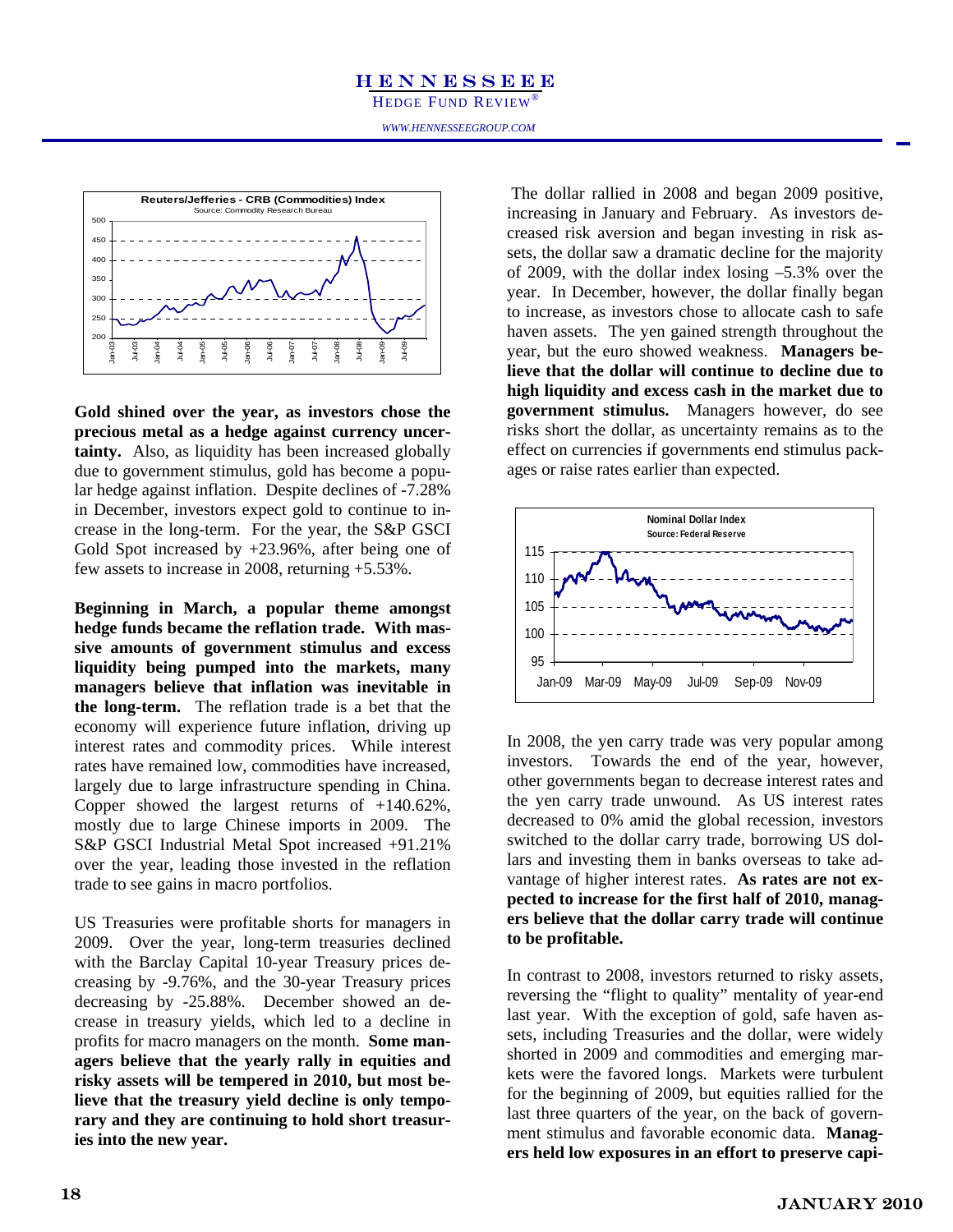

**Gold shined over the year, as investors chose the precious metal as a hedge against currency uncertainty.** Also, as liquidity has been increased globally due to government stimulus, gold has become a popular hedge against inflation. Despite declines of -7.28% in December, investors expect gold to continue to increase in the long-term. For the year, the S&P GSCI Gold Spot increased by +23.96%, after being one of few assets to increase in 2008, returning +5.53%.

**Beginning in March, a popular theme amongst hedge funds became the reflation trade. With massive amounts of government stimulus and excess liquidity being pumped into the markets, many managers believe that inflation was inevitable in the long-term.** The reflation trade is a bet that the economy will experience future inflation, driving up interest rates and commodity prices. While interest rates have remained low, commodities have increased, largely due to large infrastructure spending in China. Copper showed the largest returns of +140.62%, mostly due to large Chinese imports in 2009. The S&P GSCI Industrial Metal Spot increased +91.21% over the year, leading those invested in the reflation trade to see gains in macro portfolios.

US Treasuries were profitable shorts for managers in 2009. Over the year, long-term treasuries declined with the Barclay Capital 10-year Treasury prices decreasing by -9.76%, and the 30-year Treasury prices decreasing by -25.88%. December showed an decrease in treasury yields, which led to a decline in profits for macro managers on the month. **Some managers believe that the yearly rally in equities and risky assets will be tempered in 2010, but most believe that the treasury yield decline is only temporary and they are continuing to hold short treasuries into the new year.**

 The dollar rallied in 2008 and began 2009 positive, increasing in January and February. As investors decreased risk aversion and began investing in risk assets, the dollar saw a dramatic decline for the majority of 2009, with the dollar index losing –5.3% over the year. In December, however, the dollar finally began to increase, as investors chose to allocate cash to safe haven assets. The yen gained strength throughout the year, but the euro showed weakness. **Managers believe that the dollar will continue to decline due to high liquidity and excess cash in the market due to government stimulus.** Managers however, do see risks short the dollar, as uncertainty remains as to the effect on currencies if governments end stimulus packages or raise rates earlier than expected.



In 2008, the yen carry trade was very popular among investors. Towards the end of the year, however, other governments began to decrease interest rates and the yen carry trade unwound. As US interest rates decreased to 0% amid the global recession, investors switched to the dollar carry trade, borrowing US dollars and investing them in banks overseas to take advantage of higher interest rates. **As rates are not expected to increase for the first half of 2010, managers believe that the dollar carry trade will continue to be profitable.** 

In contrast to 2008, investors returned to risky assets, reversing the "flight to quality" mentality of year-end last year. With the exception of gold, safe haven assets, including Treasuries and the dollar, were widely shorted in 2009 and commodities and emerging markets were the favored longs. Markets were turbulent for the beginning of 2009, but equities rallied for the last three quarters of the year, on the back of government stimulus and favorable economic data. **Managers held low exposures in an effort to preserve capi-**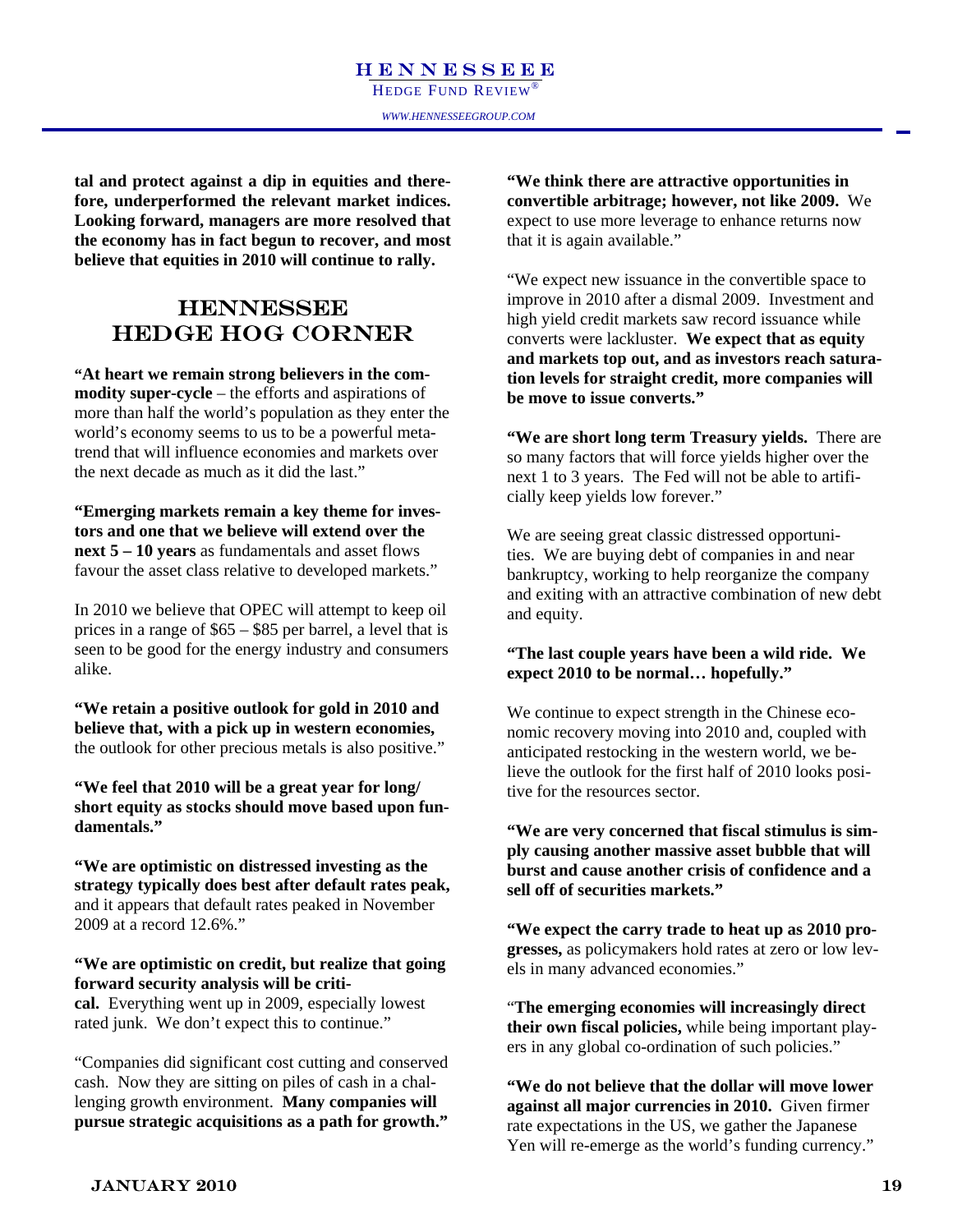tal and protect against a dip in equities and there- **the economy has in fact begun to recover, and most fore, underperformed the relevant market indices. Looking forward, managers are more resolved that believe that equities in 2010 will continue to rally.** 

#### **HENNESSEE** HEDGE HOG CORNER

**"At heart we remain strong believers in the commodity super-cycle** – the efforts and aspirations of more than half the world's population as they enter the world's economy seems to us to be a powerful metatrend that will influence economies and markets over the next decade as much as it did the last."

**"Emerging markets remain a key theme for investors and one that we believe will extend over the next 5 – 10 years** as fundamentals and asset flows favour the asset class relative to developed markets."

In 2010 we believe that OPEC will attempt to keep oil prices in a range of \$65 – \$85 per barrel, a level that is seen to be good for the energy industry and consumers alike.

**"We retain a positive outlook for gold in 2010 and believe that, with a pick up in western economies,**  the outlook for other precious metals is also positive."

**"We feel that 2010 will be a great year for long/ short equity as stocks should move based upon fundamentals."** 

**"We are optimistic on distressed investing as the strategy typically does best after default rates peak,**  and it appears that default rates peaked in November 2009 at a record 12.6%."

**"We are optimistic on credit, but realize that going forward security analysis will be criti-**

**cal.** Everything went up in 2009, especially lowest rated junk. We don't expect this to continue."

"Companies did significant cost cutting and conserved cash. Now they are sitting on piles of cash in a challenging growth environment. **Many companies will pursue strategic acquisitions as a path for growth."**

ip in equities and there-**computed to the COC of COC**<br>relevant market indices. The convertible arbitrage; however, not like 2009. We **"We think there are attractive opportunities in**  expect to use more leverage to enhance returns now that it is again available."

> "We expect new issuance in the convertible space to improve in 2010 after a dismal 2009. Investment and high yield credit markets saw record issuance while converts were lackluster. **We expect that as equity and markets top out, and as investors reach saturation levels for straight credit, more companies will be move to issue converts."**

> **"We are short long term Treasury yields.** There are so many factors that will force yields higher over the next 1 to 3 years. The Fed will not be able to artificially keep yields low forever."

> We are seeing great classic distressed opportunities. We are buying debt of companies in and near bankruptcy, working to help reorganize the company and exiting with an attractive combination of new debt and equity.

#### **"The last couple years have been a wild ride. We expect 2010 to be normal… hopefully."**

We continue to expect strength in the Chinese economic recovery moving into 2010 and, coupled with anticipated restocking in the western world, we believe the outlook for the first half of 2010 looks positive for the resources sector.

**"We are very concerned that fiscal stimulus is simply causing another massive asset bubble that will burst and cause another crisis of confidence and a sell off of securities markets."** 

**"We expect the carry trade to heat up as 2010 progresses,** as policymakers hold rates at zero or low levels in many advanced economies."

"**The emerging economies will increasingly direct their own fiscal policies,** while being important players in any global co-ordination of such policies."

**"We do not believe that the dollar will move lower against all major currencies in 2010.** Given firmer rate expectations in the US, we gather the Japanese Yen will re-emerge as the world's funding currency."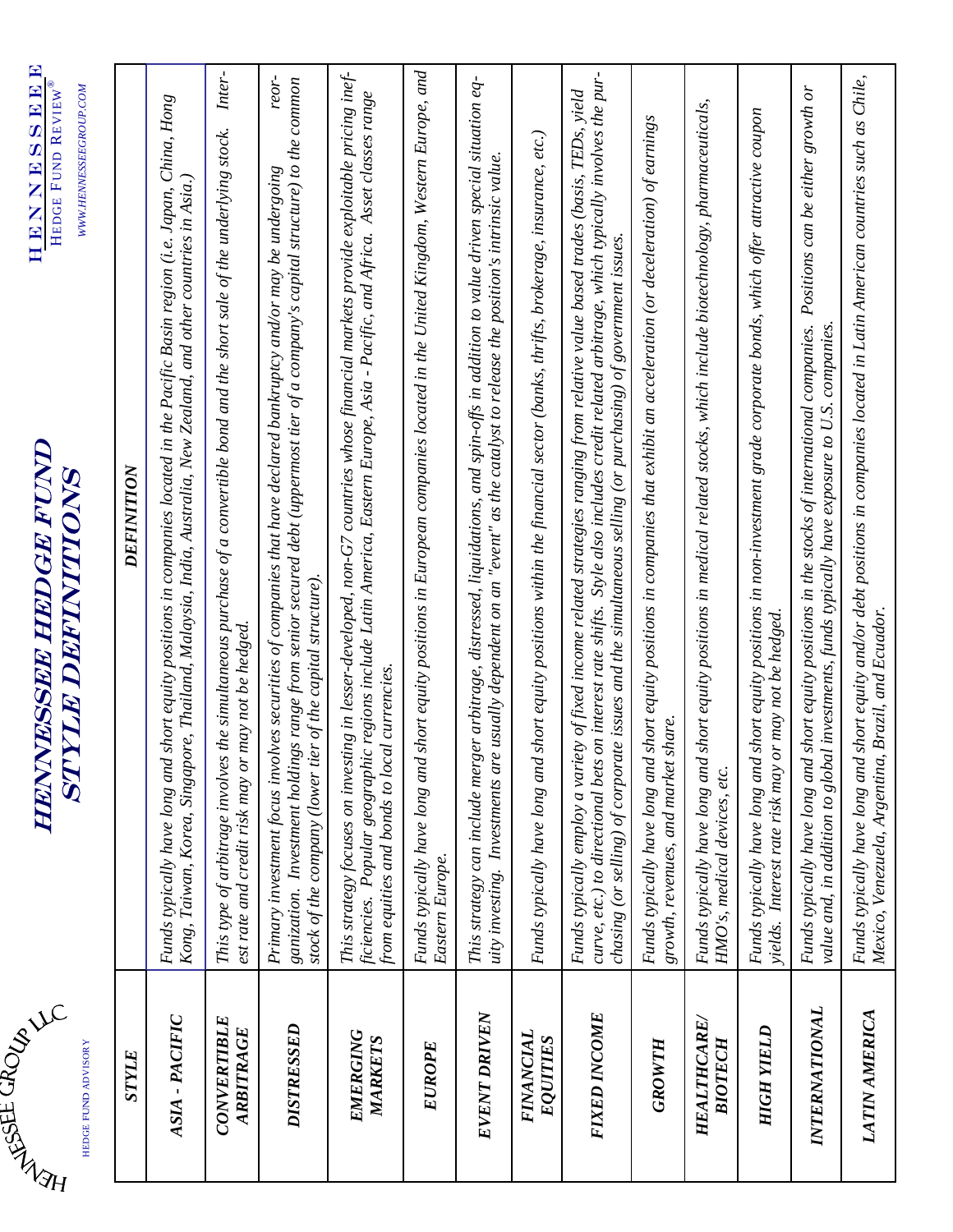| <b>ACIAL HISTER</b><br>HEDGE FUND ADVISORY | STYLE | PACIFIC<br>$\mathbf{I}$<br>ASIA | E<br>RBITRAGE<br>VERTIBL<br>CON<br>₹ | DISTRESSED | EMERGING<br>MARKETS | <b>EUROPE</b> | <b>DRIVEN</b><br>EVENT | <b>FINANCIAL</b><br>EQUITIES | <b>FIXED INCOME</b> | GROWTH | <b>HEALTHCARE</b><br><b>BIOTECH</b> | YIELD<br><b>HIGH</b> | ∼<br><b>INTERNATIONA</b> | ₹<br><b>AMERIC</b><br>LATIN |  |
|--------------------------------------------|-------|---------------------------------|--------------------------------------|------------|---------------------|---------------|------------------------|------------------------------|---------------------|--------|-------------------------------------|----------------------|--------------------------|-----------------------------|--|
|                                            |       |                                 |                                      |            |                     |               |                        |                              |                     |        |                                     |                      |                          |                             |  |

## HENNESSEE HEDGE FUND **HENNESSEE HEDGE FUND<br>STYLE DEFINITIONS** STYLE DEFINITIONS

| HEDGE FUND ADVISORY                    | WWW.HENNESSEEGROUP.COM<br><i><b>STATIFITATION</b></i>                                                                                                                                                                                                                                                                                                                                        |
|----------------------------------------|----------------------------------------------------------------------------------------------------------------------------------------------------------------------------------------------------------------------------------------------------------------------------------------------------------------------------------------------------------------------------------------------|
| STYLE                                  | DEFINITION                                                                                                                                                                                                                                                                                                                                                                                   |
| ASIA - PACIFIC                         | short equity positions in companies located in the Pacific Basin region (i.e. Japan, China, Hong<br>Kong, Taiwan, Korea, Singapore, Thailand, Malaysia, India, Australia, New Zealand, and other countries in Asia.)<br>Funds typically have long and                                                                                                                                        |
| <b>CONVERTIBLE</b><br><b>ARBITRAGE</b> | Inter-<br>This type of arbitrage involves the simultaneous purchase of a convertible bond and the short sale of the underlying stock.<br>est rate and credit risk may or may not be hedged.                                                                                                                                                                                                  |
| DISTRESSED                             | reor-<br>ganization. Investment holdings range from senior secured debt (uppermost tier of a company's capital structure) to the common<br>Primary investment focus involves securities of companies that have declared bankruptcy and/or may be undergoing<br>stock of the company (lower tier of the capital structure).                                                                   |
| EMERGING<br>MARKETS                    | This strategy focuses on investing in lesser-developed, non-G7 countries whose financial markets provide exploitable pricing inef-<br>ficiencies. Popular geographic regions include Latin America, Eastern Europe, Asia - Pacific, and Africa. Asset classes range<br>from equities and bonds to local currencies.                                                                          |
| <b>EUROPE</b>                          | short equity positions in European companies located in the United Kingdom, Western Europe, and<br>Funds typically have long and<br>Eastern Europe.                                                                                                                                                                                                                                          |
| <b>EVENT DRIVEN</b>                    | This strategy can include merger arbitrage, distressed, liquidations, and spin-offs in addition to value driven special situation eq-<br>uity investing. Investments are usually dependent on an "event" as the catalyst to release the position's intrinsic value.                                                                                                                          |
| <i><b>FINANCIAL</b></i><br>EQUITIES    | short equity positions within the financial sector (banks, thrifts, brokerage, insurance, etc.)<br>Funds typically have long and                                                                                                                                                                                                                                                             |
| FIXED INCOME                           | curve, etc.) to directional bets on interest rate shifts. Style also includes credit related arbitrage, which typically involves the pur-<br>Funds typically employ a variety of fixed income related strategies ranging from relative value based trades (basis, TEDs, yield<br>chasing (or selling) of corporate issues and the simultaneous selling (or purchasing) of government issues. |
| GROWTH                                 | short equity positions in companies that exhibit an acceleration (or deceleration) of earnings<br>share.<br>Funds typically have long and<br>growth, revenues, and market                                                                                                                                                                                                                    |
| <b>HEALTHCARE</b><br><b>BIOTECH</b>    | short equity positions in medical related stocks, which include biotechnology, pharmaceuticals,<br>Funds typically have long and<br>HMO's, medical devices, etc.                                                                                                                                                                                                                             |
| <b>HIGH YIELD</b>                      | short equity positions in non-investment grade corporate bonds, which offer attractive coupon<br>yields. Interest rate risk may or may not be hedged.<br>Funds typically have long and                                                                                                                                                                                                       |
| <b>INTERNATIONAL</b>                   | Positions can be either growth or<br>short equity positions in the stocks of international companies.<br>value and, in addition to global investments, funds typically have exposure to U.S. companies.<br>Funds typically have long and                                                                                                                                                     |
| <b>LATIN AMERICA</b>                   | short equity and/or debt positions in companies located in Latin American countries such as Chile,<br>Mexico, Venezuela, Argentina, Brazil, and Ecuador.<br>Funds typically have long and                                                                                                                                                                                                    |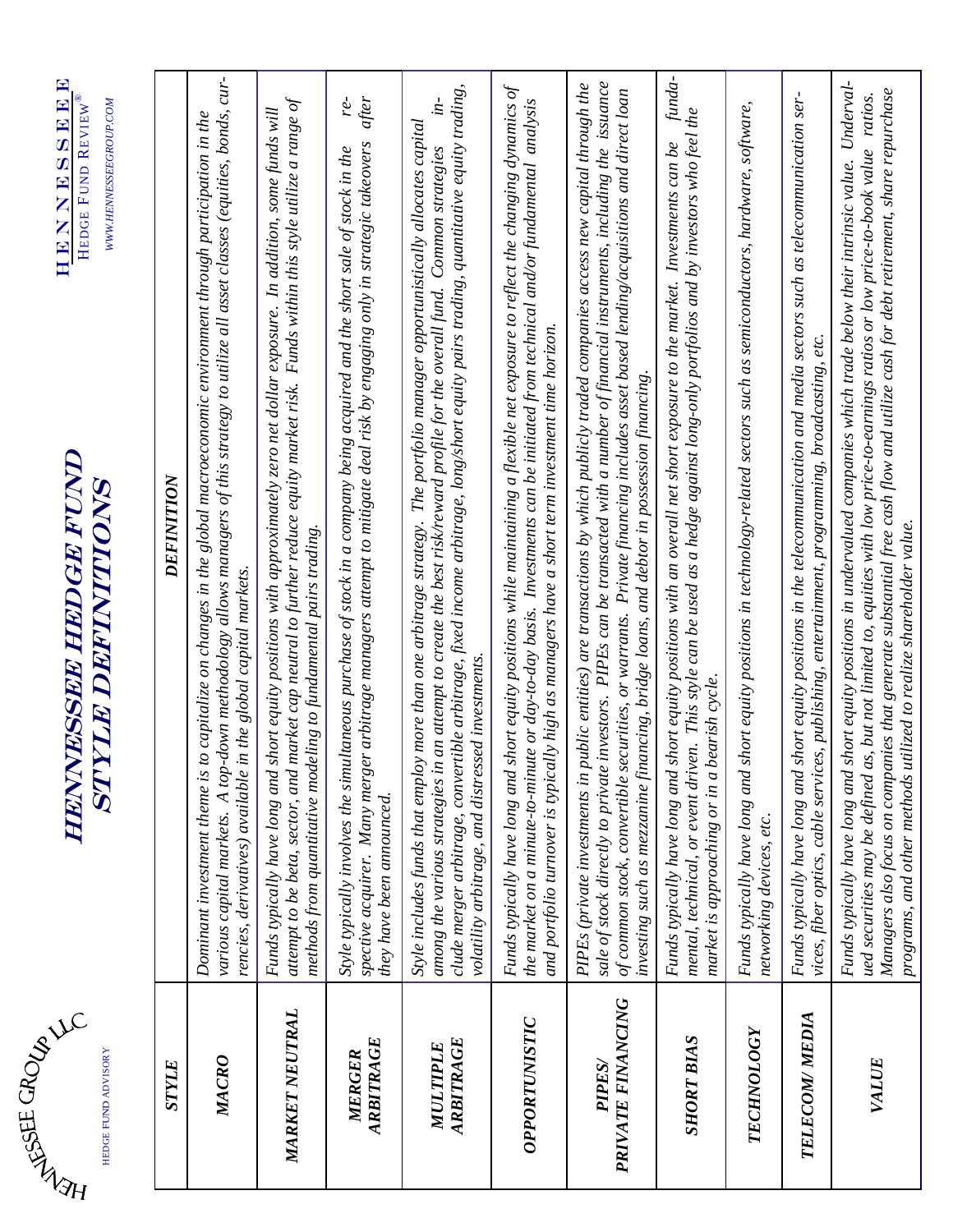| $\ddot{4}$ | HEDGE FUND ADVISORY |
|------------|---------------------|
|            |                     |

## **HENNESSEE HEDGE FUND<br>STYLE DEFINITIONS** HENNESSEE HEDGE FUND STYLE DEFINITIONS

| HEDGE FUND ADVISORY               | HEDGE FUND KEVIEW<br>WWW.HENNESSEEGROUP.COM<br><b>STYLE DEFINITIONS</b>                                                                                                                                                                                                                                                                                                                                                                                                                                     |
|-----------------------------------|-------------------------------------------------------------------------------------------------------------------------------------------------------------------------------------------------------------------------------------------------------------------------------------------------------------------------------------------------------------------------------------------------------------------------------------------------------------------------------------------------------------|
| STYLE                             | DEFINITION                                                                                                                                                                                                                                                                                                                                                                                                                                                                                                  |
| MACRO                             | various capital markets. A top-down methodology allows managers of this strategy to utilize all asset classes (equities, bonds, cur-<br>Dominant investment theme is to capitalize on changes in the global macroeconomic environment through participation in the<br>rencies, derivatives) available in the global capital markets.                                                                                                                                                                        |
| MARKET NEUTRAL                    | attempt to be beta, sector, and market cap neutral to further reduce equity market risk. Funds within this style utilize a range of<br>Funds typically have long and short equity positions with approximately zero net dollar exposure. In addition, some funds will<br>methods from quantitative modeling to fundamental pairs trading.                                                                                                                                                                   |
| ARBITRAGE<br>MERGER               | after<br>re-<br>spective acquirer. Many merger arbitrage managers attempt to mitigate deal risk by engaging only in strategic takeovers<br>Style typically involves the simultaneous purchase of stock in a company being acquired and the short sale of stock in the<br>they have been announced.                                                                                                                                                                                                          |
| ARBITRAGE<br>MULTIPLE             | clude merger arbitrage, convertible arbitrage, fixed income arbitrage, long/short equity pairs trading, quantitative equity trading,<br>$\dot{m}$<br>Style includes funds that employ more than one arbitrage strategy. The portfolio manager opportunistically allocates capital<br>among the various strategies in an attempt to create the best risk/reward profile for the overall fund. Common strategies<br>volatility arbitrage, and distressed investments.                                         |
| OPPORTUNISTIC                     | Funds typically have long and short equity positions while maintaining a flexible net exposure to reflect the changing dynamics of<br>the market on a minute-to-minute or day-to-day basis. Investments can be initiated from technical and/or fundamental analysis<br>and portfolio turnover is typically high as managers have a short term investment time horizon.                                                                                                                                      |
| PRIVATE FINANCING<br><b>PIPES</b> | sale of stock directly to private investors. PIPEs can be transacted with a number of financial instruments, including the issuance<br>PIPEs (private investments in public entities) are transactions by which publicly traded companies access new capital through the<br>securities, or warrants. Private financing includes asset based lending/acquisitions and direct loan<br>investing such as mezzanine financing, bridge loans, and debtor in possession financing<br>of common stock, convertible |
| <b>SHORT BIAS</b>                 | funda-<br>mental, technical, or event driven. This style can be used as a hedge against long-only portfolios and by investors who feel the<br>Funds typically have long and short equity positions with an overall net short exposure to the market. Investments can be<br>market is approaching or in a bearish cycle.                                                                                                                                                                                     |
| <b>TECHNOLOGY</b>                 | Funds typically have long and short equity positions in technology-related sectors such as semiconductors, hardware, software,<br>networking devices, etc.                                                                                                                                                                                                                                                                                                                                                  |
| TELECOM/MEDIA                     | Funds typically have long and short equity positions in the telecommunication and media sectors such as telecommunication ser-<br>vices, fiber optics, cable services, publishing, entertainment, programming, broadcasting, etc.                                                                                                                                                                                                                                                                           |
| VALUE                             | Funds typically have long and short equity positions in undervalued companies which trade below their intrinsic value. Underval-<br>Managers also focus on companies that generate substantial free cash flow and utilize cash for debt retirement, share repurchase<br>ued securities may be defined as, but not limited to, equities with low price-to-earnings ratios or low price-to-book value ratios.<br>programs, and other methods utilized to realize shareholder value.                           |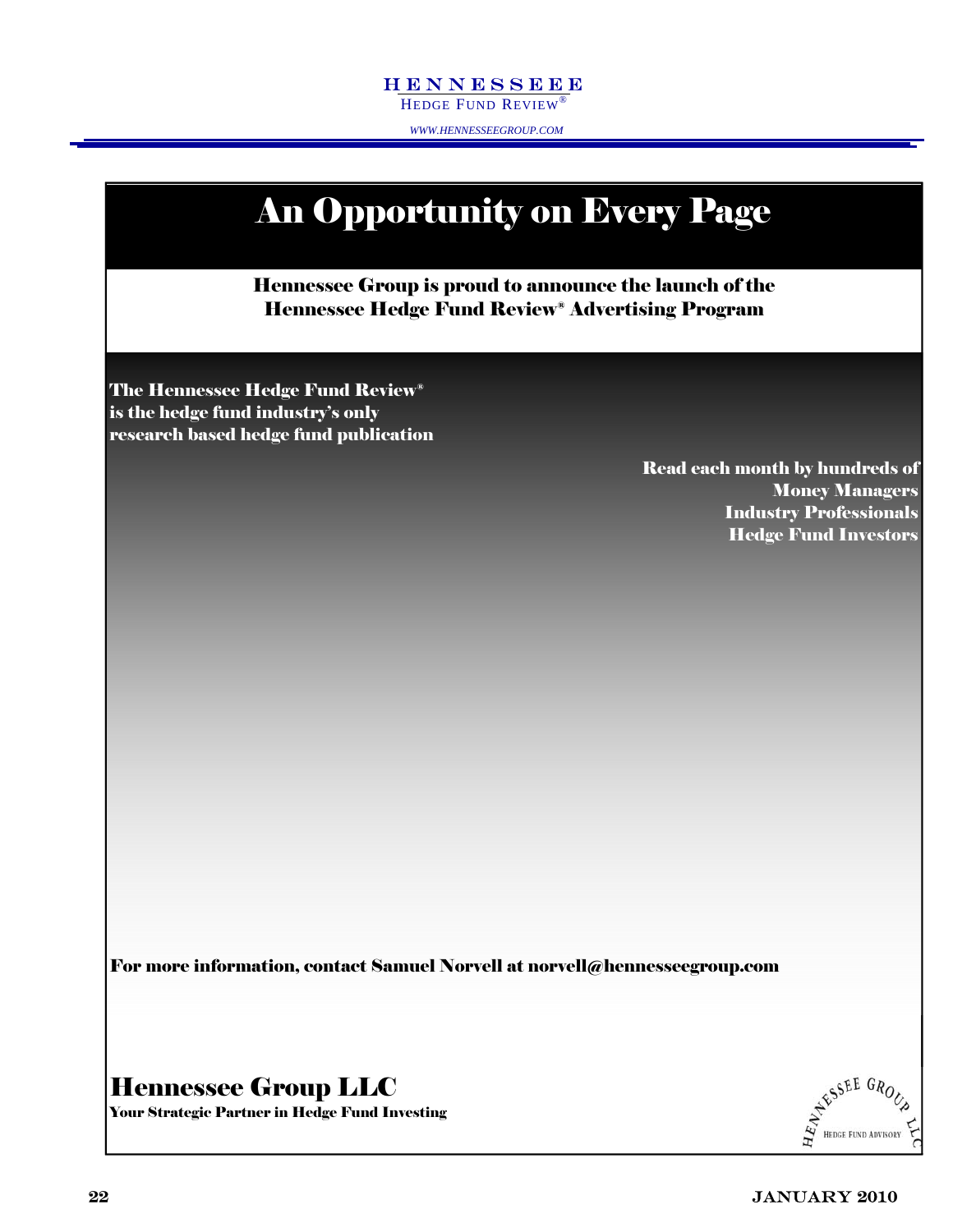#### HENNESSEEE HENNESSEEE

HEDGE FUND REVIEW® HEDGE FUND REVIEW®

*WWW.HENNESSEEGROUP.COM WWW.HENNESSEEGROUP.COM* 

### Hennessee Group is proud to announce the launch of the Hennessee Hedge Fund Review® Advertising Program An Opportunity on Every Page The Hennessee Hedge Fund Review® is the hedge fund industry's only research based hedge fund publication Read each month by hundreds of Money Managers Industry Professionals Hedge Fund Investors

For more information, contact Samuel Norvell at norvell@hennesseegroup.com

#### Hennessee Group LLC

Your Strategic Partner in Hedge Fund Investing

AFSSEE GROUP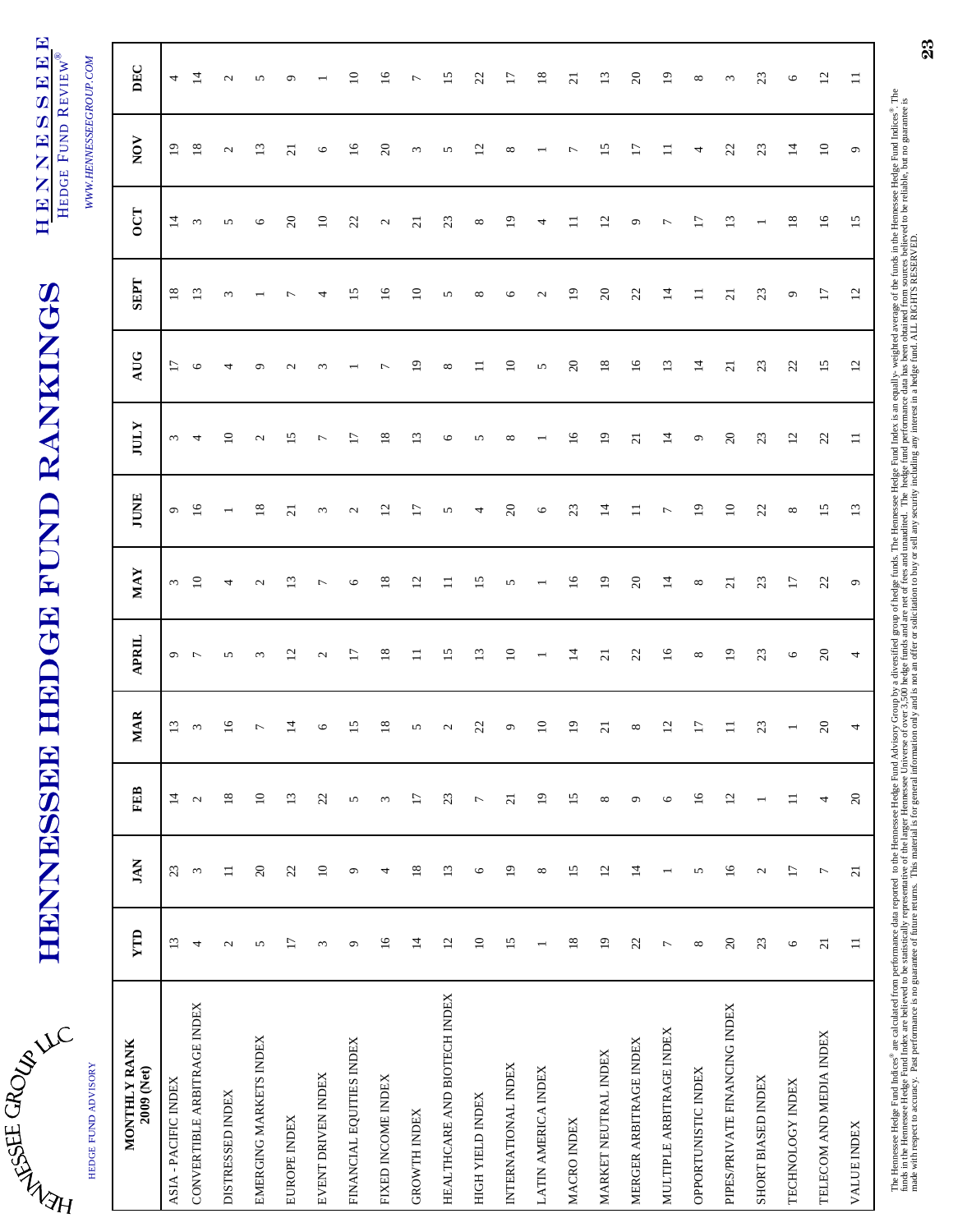| J       |  |
|---------|--|
| رَ<br>ţ |  |
|         |  |

# HENNESSEE HEDGE FUND RANKINGS HENNESSEE HEDGE FUND RANKINGS

HENNESSEEE HENNESSEEE HEDGE FUND REVIEW® HEDGE FUND REVIEW®

*WWW.HENNESSEEGROUP.COM* 

| HEDGE FUND ADVISORY           |                 |                           |                          |                          |                          |                   |                   |                 |                 |                 |                          | WWW.HENNESSEEGROUP.COM |                 |
|-------------------------------|-----------------|---------------------------|--------------------------|--------------------------|--------------------------|-------------------|-------------------|-----------------|-----------------|-----------------|--------------------------|------------------------|-----------------|
| MONTHLY RANK<br>2009 (Net)    | <b>TTP</b>      | <b>JAN</b>                | FEB                      | <b>MAR</b>               | <b>APRIL</b>             | <b>MAY</b>        | <b>JUNE</b>       | <b>IULY</b>     | AUG             | <b>SEPT</b>     | <b>OCT</b>               | NOV                    | DEC             |
| ASIA - PACIFIC INDEX          | $13\,$          | $23\,$                    | $\overline{1}$           | $13\,$                   | $\sigma$ $\tau$          | $\sim$            | $\mathbf{\sigma}$ | $\epsilon$      | $\overline{17}$ | $18\,$          | $\overline{4}$           | $\overline{19}$        | $\overline{a}$  |
| CONVERTIBLE ARBITRAGE INDEX   | 4               | $\epsilon$                | $\mathbf{\Omega}$        | $\epsilon$               |                          | $\overline{10}$   | $\overline{16}$   | 4               | $\circ$         | $\overline{13}$ | $\sim$                   | $\overline{18}$        | $\overline{4}$  |
| DISTRESSED INDEX              | $\mathbf{C}$    | $\equiv$                  | $18\,$                   | $\overline{16}$          | n                        | 4                 |                   | $\overline{10}$ | 4               | $\omega$        | $\sim$                   | $\sim$                 | $\sim$          |
| EMERGING MARKETS INDEX        | 5               | $20$                      | $\Xi$                    | $\overline{\phantom{a}}$ | $\epsilon$               | $\mathbf{c}$      | $\frac{8}{2}$     | $\mathbf{C}$    | െ               |                 | $\circ$                  | $\mathbf{13}$          | 5               |
| EUROPE INDEX                  | $\overline{17}$ | $22$                      | $13\,$                   | $\overline{4}$           | $\overline{c}$           | $\overline{13}$   | $\overline{c}$    | 15              | $\mathbf{C}$    | ∼               | $\overline{c}$           | $\overline{c}$         | $\sigma$        |
| EVENT DRIVEN INDEX            | $\omega$        | $\overline{10}$           | 22                       | $\circ$                  | $\mathbf{C}$             | $\overline{ }$    | $\omega$          | $\overline{ }$  | $\omega$        | 4               | $\Xi$                    | $\circ$                |                 |
| FINANCIAL EQUITIES INDEX      | $\circ$         | $\mathfrak{O}$            | 5                        | 15                       | $\overline{17}$          | $\circ$           | $\mathbf{C}$      | $\overline{1}$  |                 | $\overline{15}$ | 22                       | 16                     | $\Xi$           |
| FIXED INCOME INDEX            | $\overline{16}$ | 4                         | $\omega$                 | $\overline{18}$          | $18\,$                   | $18\,$            | $\overline{c}$    | 18              | $\overline{ }$  | $\frac{6}{2}$   | $\mathcal{L}$            | $\Omega$               | $\overline{16}$ |
| <b>GROWTH INDEX</b>           | $14$            | $18\,$                    | $\overline{17}$          | $\sim$                   | $\Box$                   | 12                | $\overline{17}$   | 13              | $\overline{1}$  | $\Xi$           | $\overline{c}$           | $\epsilon$             | $\overline{ }$  |
| HEALTHCARE AND BIOTECH INDEX  | $12\,$          | 13                        | 23                       | $\mathcal{L}$            | 15                       | $\equiv$          | 5                 | O               | ${}^{\circ}$    | 5               | 23                       | 5                      | 15              |
| HIGH YIELD INDEX              | $\Box$          | $\circ$                   | $\overline{\phantom{a}}$ | 22                       | 13                       | 15                | 4                 | 5               | $\Xi$           | $\infty$        | $\infty$                 | $\overline{2}$         | $\mathbb{Z}$    |
| INTERNATIONAL INDEX           | 15              | $\overline{19}$           | $\overline{c}$           | $\circ$                  | $\overline{10}$          | 5                 | $\Omega$          | $\infty$        | $\overline{10}$ | $\circ$         | $\overline{1}$           | ${}^{\circ}$           | $\overline{17}$ |
| LATIN AMERICA INDEX           |                 | $\infty$                  | $\overline{19}$          | $\overline{10}$          | $\overline{\phantom{0}}$ |                   | $\circ$           |                 | 5               | $\mathbf{C}$    | 4                        |                        | $\overline{18}$ |
| MACRO INDEX                   | $18\,$          | 15                        | 15                       | $\overline{19}$          | 14                       | 16                | 23                | $\overline{16}$ | $\overline{c}$  | $\overline{19}$ |                          | $\overline{ }$         | $\overline{c}$  |
| MARKET NEUTRAL INDEX          | $\overline{19}$ | 12                        | $\infty$                 | $\overline{z}$           | $\overline{21}$          | $\overline{19}$   | $\overline{1}$    | $\overline{19}$ | 18              | $\overline{c}$  | $\overline{c}$           | 15                     | $\mathbf{13}$   |
| MERGER ARBITRAGE INDEX        | 22              | $\overline{4}$            | $\mathfrak{S}$           | $\infty$                 | 22                       | 20                | $\equiv$          | $\overline{c}$  | $\overline{16}$ | 22              | $\sigma$                 | $\overline{17}$        | $20\,$          |
| MULTIPLE ARBITRAGE INDEX      | $\overline{ }$  | $\overline{ }$            | $\circ$                  | 12                       | $16$                     | $14$              | $\overline{ }$    | $\overline{1}$  | 13              | $\overline{1}$  | $\overline{ }$           | $\Box$                 | $\mathbf{D}$    |
| OPPORTUNISTIC INDEX           | $\infty$        | $\boldsymbol{\mathsf{v}}$ | $\overline{16}$          | $\overline{17}$          | $\infty$                 | $\infty$          | $\overline{9}$    | ٥               | 14              | $\equiv$        | $\overline{17}$          | 4                      | ${}^{\circ}$    |
| PIPES/PRIVATE FINANCING INDEX | $20\,$          | 16                        | $12\,$                   | $\equiv$                 | $\overline{19}$          | $\overline{21}$   | $\overline{10}$   | $\overline{c}$  | $\overline{c}$  | $\overline{c}$  | $\mathbf{r}$             | 22                     | $\omega$        |
| SHORT BIASED INDEX            | 23              | $\mathbf{C}$              | $\overline{ }$           | $23\,$                   | 23                       | 23                | $\mathbb{Z}$      | 23              | 23              | 23              | $\overline{\phantom{0}}$ | 23                     | 23              |
| TECHNOLOGY INDEX              | $\circ$         | $\overline{17}$           | $\equiv$                 | $\overline{ }$           | $\circ$                  | $17\,$            | $\infty$          | 12              | 22              | $\circ$         | 18                       | $14$                   | $\circ$         |
| TELECOM AND MEDIA INDEX       | $\overline{21}$ | $\overline{ }$            | 4                        | $20\,$                   | $\Omega$                 | 22                | $\overline{15}$   | 22              | $\overline{15}$ | $\overline{17}$ | 16                       | $\overline{10}$        | $\overline{c}$  |
| <b>VALUE INDEX</b>            | $\equiv$        | $\overline{21}$           | $20\,$                   | 4                        | 4                        | $\mathsf{\sigma}$ | $\mathbf{r}$      | $\equiv$        | $\overline{c}$  | $\overline{c}$  | 15                       | $\mathsf{\sigma}$      | $\equiv$        |
|                               |                 |                           |                          |                          |                          |                   |                   |                 |                 |                 |                          |                        |                 |

The Hennessee Hedge Fund Indices® are calculated from performance data reported to the Hendes Advisory Group by a diversified group of hedge funds. The Hennessee Hedge Fund Index is an equally- weighted average of the fund funds in the Hennessee Eund Index are believed to be statistically representative of the larger Hennessee Universe of over 3,500 hedge funds and are net of the sand unaudited. The hedge fund performance data has been obtai made with respect to accuracy. Past performance is no guarantee of future returns. This material is for general information only and is not an offer or solicitation to buy or sell any security including any interest in a h

23